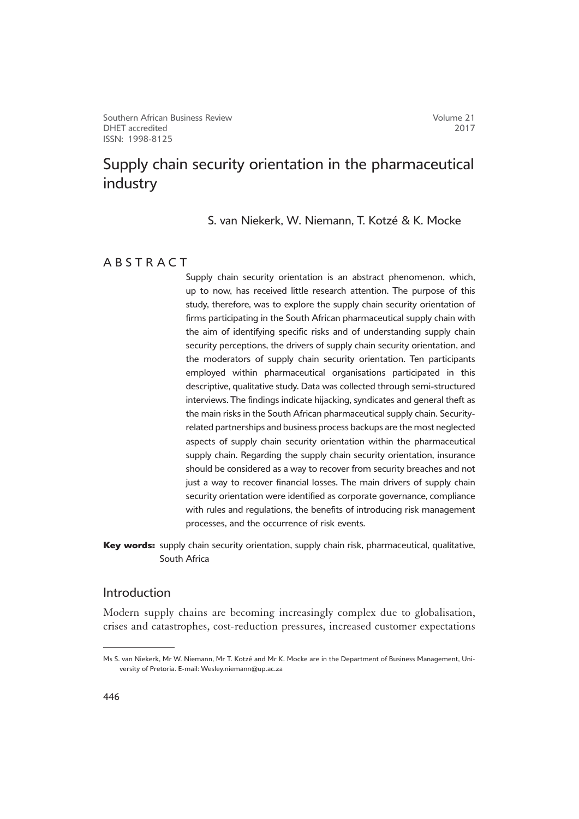S. van Niekerk, W. Niemann, T. Kotzé & K. Mocke

# **ABSTRACT**

Supply chain security orientation is an abstract phenomenon, which, up to now, has received little research attention. The purpose of this study, therefore, was to explore the supply chain security orientation of firms participating in the South African pharmaceutical supply chain with the aim of identifying specific risks and of understanding supply chain security perceptions, the drivers of supply chain security orientation, and the moderators of supply chain security orientation. Ten participants employed within pharmaceutical organisations participated in this descriptive, qualitative study. Data was collected through semi-structured interviews. The findings indicate hijacking, syndicates and general theft as the main risks in the South African pharmaceutical supply chain. Securityrelated partnerships and business process backups are the most neglected aspects of supply chain security orientation within the pharmaceutical supply chain. Regarding the supply chain security orientation, insurance should be considered as a way to recover from security breaches and not just a way to recover financial losses. The main drivers of supply chain security orientation were identified as corporate governance, compliance with rules and regulations, the benefits of introducing risk management processes, and the occurrence of risk events.

**Key words:** supply chain security orientation, supply chain risk, pharmaceutical, qualitative, South Africa

# Introduction

1Modern supply chains are becoming increasingly complex due to globalisation, crises and catastrophes, cost-reduction pressures, increased customer expectations

Ms S. van Niekerk, Mr W. Niemann, Mr T. Kotzé and Mr K. Mocke are in the Department of Business Management, University of Pretoria. E-mail: Wesley.niemann@up.ac.za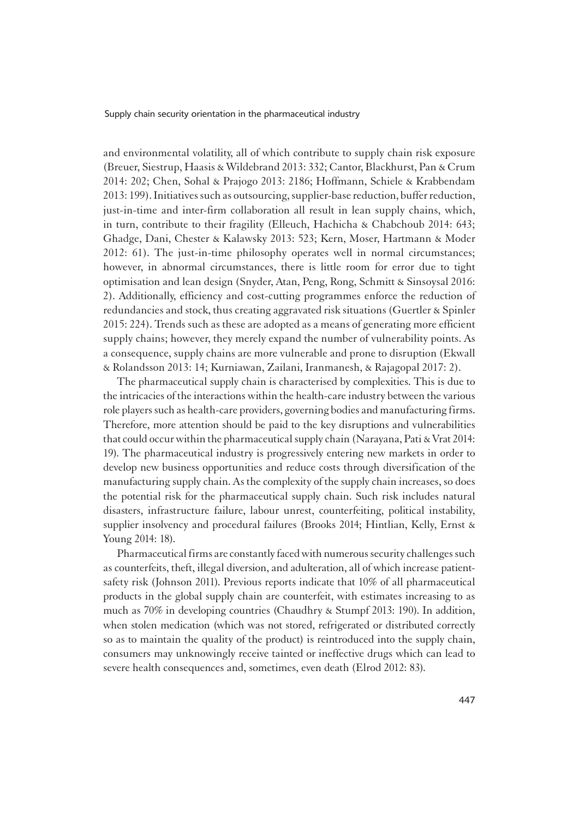and environmental volatility, all of which contribute to supply chain risk exposure (Breuer, Siestrup, Haasis & Wildebrand 2013: 332; Cantor, Blackhurst, Pan & Crum 2014: 202; Chen, Sohal & Prajogo 2013: 2186; Hoffmann, Schiele & Krabbendam 2013: 199). Initiatives such as outsourcing, supplier-base reduction, buffer reduction, just-in-time and inter-firm collaboration all result in lean supply chains, which, in turn, contribute to their fragility (Elleuch, Hachicha & Chabchoub 2014: 643; Ghadge, Dani, Chester & Kalawsky 2013: 523; Kern, Moser, Hartmann & Moder 2012: 61). The just-in-time philosophy operates well in normal circumstances; however, in abnormal circumstances, there is little room for error due to tight optimisation and lean design (Snyder, Atan, Peng, Rong, Schmitt & Sinsoysal 2016: 2). Additionally, efficiency and cost-cutting programmes enforce the reduction of redundancies and stock, thus creating aggravated risk situations (Guertler & Spinler 2015: 224). Trends such as these are adopted as a means of generating more efficient supply chains; however, they merely expand the number of vulnerability points. As a consequence, supply chains are more vulnerable and prone to disruption (Ekwall & Rolandsson 2013: 14; Kurniawan, Zailani, Iranmanesh, & Rajagopal 2017: 2).

2The pharmaceutical supply chain is characterised by complexities. This is due to the intricacies of the interactions within the health-care industry between the various role players such as health-care providers, governing bodies and manufacturing firms. Therefore, more attention should be paid to the key disruptions and vulnerabilities that could occur within the pharmaceutical supply chain (Narayana, Pati & Vrat 2014: 19). The pharmaceutical industry is progressively entering new markets in order to develop new business opportunities and reduce costs through diversification of the manufacturing supply chain. As the complexity of the supply chain increases, so does the potential risk for the pharmaceutical supply chain. Such risk includes natural disasters, infrastructure failure, labour unrest, counterfeiting, political instability, supplier insolvency and procedural failures (Brooks 2014; Hintlian, Kelly, Ernst & Young 2014: 18).

3Pharmaceutical firms are constantly faced with numerous security challenges such as counterfeits, theft, illegal diversion, and adulteration, all of which increase patientsafety risk (Johnson 2011). Previous reports indicate that 10% of all pharmaceutical products in the global supply chain are counterfeit, with estimates increasing to as much as 70% in developing countries (Chaudhry & Stumpf 2013: 190). In addition, when stolen medication (which was not stored, refrigerated or distributed correctly so as to maintain the quality of the product) is reintroduced into the supply chain, consumers may unknowingly receive tainted or ineffective drugs which can lead to severe health consequences and, sometimes, even death (Elrod 2012: 83).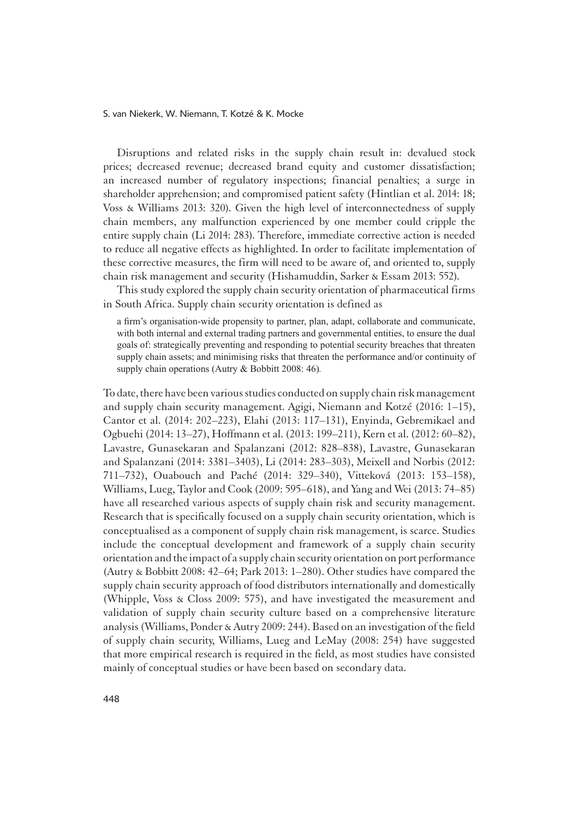Disruptions and related risks in the supply chain result in: devalued stock prices; decreased revenue; decreased brand equity and customer dissatisfaction; an increased number of regulatory inspections; financial penalties; a surge in shareholder apprehension; and compromised patient safety (Hintlian et al. 2014: 18; Voss & Williams 2013: 320). Given the high level of interconnectedness of supply chain members, any malfunction experienced by one member could cripple the entire supply chain (Li 2014: 283). Therefore, immediate corrective action is needed to reduce all negative effects as highlighted. In order to facilitate implementation of these corrective measures, the firm will need to be aware of, and oriented to, supply chain risk management and security (Hishamuddin, Sarker & Essam 2013: 552).

This study explored the supply chain security orientation of pharmaceutical firms in South Africa. Supply chain security orientation is defined as

a firm's organisation-wide propensity to partner, plan, adapt, collaborate and communicate, with both internal and external trading partners and governmental entities, to ensure the dual goals of: strategically preventing and responding to potential security breaches that threaten supply chain assets; and minimising risks that threaten the performance and/or continuity of supply chain operations (Autry & Bobbitt 2008: 46)*.*

1To date, there have been various studies conducted on supply chain risk management and supply chain security management. Agigi, Niemann and Kotzé (2016: 1–15), Cantor et al. (2014: 202–223), Elahi (2013: 117–131), Enyinda, Gebremikael and Ogbuehi (2014: 13–27), Hoffmann et al. (2013: 199–211), Kern et al. (2012: 60–82), Lavastre, Gunasekaran and Spalanzani (2012: 828–838), Lavastre, Gunasekaran and Spalanzani (2014: 3381–3403), Li (2014: 283–303), Meixell and Norbis (2012: 711–732), Ouabouch and Paché (2014: 329–340), Vitteková (2013: 153–158), Williams, Lueg, Taylor and Cook (2009: 595–618), and Yang and Wei (2013: 74–85) have all researched various aspects of supply chain risk and security management. Research that is specifically focused on a supply chain security orientation, which is conceptualised as a component of supply chain risk management, is scarce. Studies include the conceptual development and framework of a supply chain security orientation and the impact of a supply chain security orientation on port performance (Autry & Bobbitt 2008: 42–64; Park 2013: 1–280). Other studies have compared the supply chain security approach of food distributors internationally and domestically (Whipple, Voss & Closs 2009: 575), and have investigated the measurement and validation of supply chain security culture based on a comprehensive literature analysis (Williams, Ponder & Autry 2009: 244). Based on an investigation of the field of supply chain security, Williams, Lueg and LeMay (2008: 254) have suggested that more empirical research is required in the field, as most studies have consisted mainly of conceptual studies or have been based on secondary data.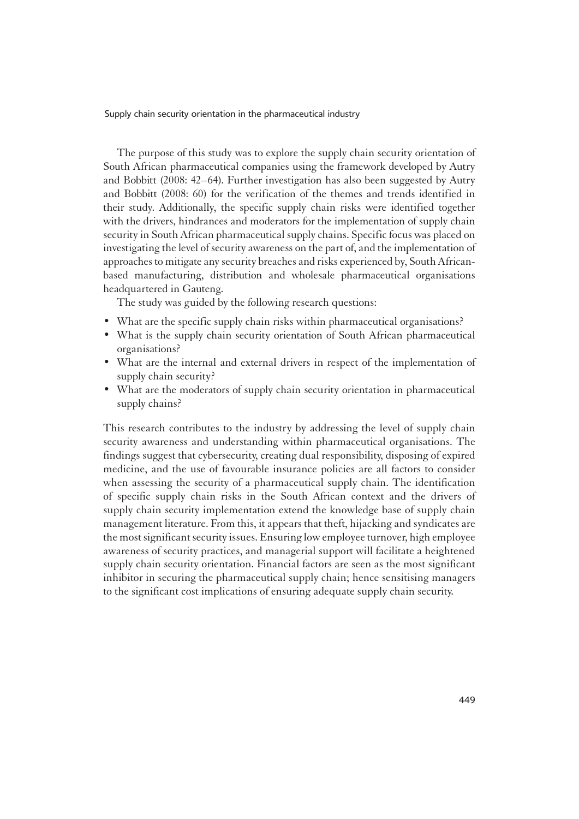The purpose of this study was to explore the supply chain security orientation of South African pharmaceutical companies using the framework developed by Autry and Bobbitt (2008: 42–64). Further investigation has also been suggested by Autry and Bobbitt (2008: 60) for the verification of the themes and trends identified in their study. Additionally, the specific supply chain risks were identified together with the drivers, hindrances and moderators for the implementation of supply chain security in South African pharmaceutical supply chains. Specific focus was placed on investigating the level of security awareness on the part of, and the implementation of approaches to mitigate any security breaches and risks experienced by, South Africanbased manufacturing, distribution and wholesale pharmaceutical organisations headquartered in Gauteng.

The study was guided by the following research questions:

- What are the specific supply chain risks within pharmaceutical organisations?
- What is the supply chain security orientation of South African pharmaceutical organisations?
- What are the internal and external drivers in respect of the implementation of supply chain security?
- What are the moderators of supply chain security orientation in pharmaceutical supply chains?

This research contributes to the industry by addressing the level of supply chain security awareness and understanding within pharmaceutical organisations. The findings suggest that cybersecurity, creating dual responsibility, disposing of expired medicine, and the use of favourable insurance policies are all factors to consider when assessing the security of a pharmaceutical supply chain. The identification of specific supply chain risks in the South African context and the drivers of supply chain security implementation extend the knowledge base of supply chain management literature. From this, it appears that theft, hijacking and syndicates are the most significant security issues. Ensuring low employee turnover, high employee awareness of security practices, and managerial support will facilitate a heightened supply chain security orientation. Financial factors are seen as the most significant inhibitor in securing the pharmaceutical supply chain; hence sensitising managers to the significant cost implications of ensuring adequate supply chain security.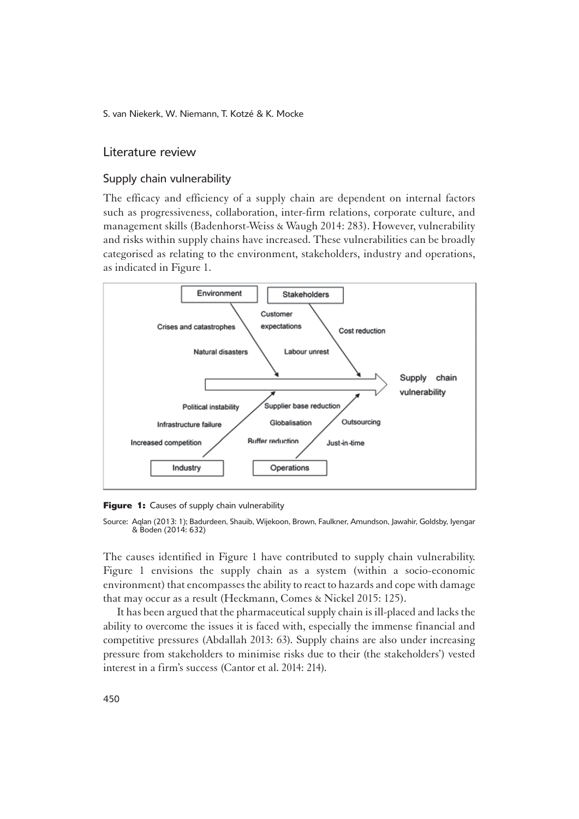#### Literature review

#### Supply chain vulnerability

The efficacy and efficiency of a supply chain are dependent on internal factors such as progressiveness, collaboration, inter-firm relations, corporate culture, and management skills (Badenhorst-Weiss & Waugh 2014: 283). However, vulnerability and risks within supply chains have increased. These vulnerabilities can be broadly categorised as relating to the environment, stakeholders, industry and operations, as indicated in Figure 1.



**Figure 1:** Causes of supply chain vulnerability

1Source: Aqlan (2013: 1); Badurdeen, Shauib, Wijekoon, Brown, Faulkner, Amundson, Jawahir, Goldsby, Iyengar & Boden (2014: 632)

1The causes identified in Figure 1 have contributed to supply chain vulnerability. Figure 1 envisions the supply chain as a system (within a socio-economic environment) that encompasses the ability to react to hazards and cope with damage that may occur as a result (Heckmann, Comes & Nickel 2015: 125).

2It has been argued that the pharmaceutical supply chain is ill-placed and lacks the ability to overcome the issues it is faced with, especially the immense financial and competitive pressures (Abdallah 2013: 63). Supply chains are also under increasing pressure from stakeholders to minimise risks due to their (the stakeholders') vested interest in a firm's success (Cantor et al. 2014: 214).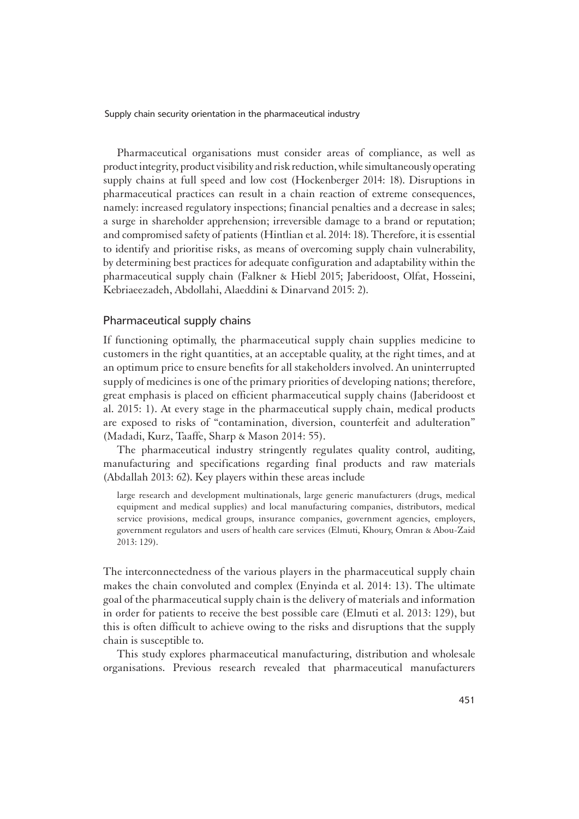3Pharmaceutical organisations must consider areas of compliance, as well as product integrity, product visibility and risk reduction, while simultaneously operating supply chains at full speed and low cost (Hockenberger 2014: 18). Disruptions in pharmaceutical practices can result in a chain reaction of extreme consequences, namely: increased regulatory inspections; financial penalties and a decrease in sales; a surge in shareholder apprehension; irreversible damage to a brand or reputation; and compromised safety of patients (Hintlian et al. 2014: 18). Therefore, it is essential to identify and prioritise risks, as means of overcoming supply chain vulnerability, by determining best practices for adequate configuration and adaptability within the pharmaceutical supply chain (Falkner & Hiebl 2015; Jaberidoost, Olfat, Hosseini, Kebriaeezadeh, Abdollahi, Alaeddini & Dinarvand 2015: 2).

#### Pharmaceutical supply chains

1If functioning optimally, the pharmaceutical supply chain supplies medicine to customers in the right quantities, at an acceptable quality, at the right times, and at an optimum price to ensure benefits for all stakeholders involved. An uninterrupted supply of medicines is one of the primary priorities of developing nations; therefore, great emphasis is placed on efficient pharmaceutical supply chains (Jaberidoost et al. 2015: 1). At every stage in the pharmaceutical supply chain, medical products are exposed to risks of "contamination, diversion, counterfeit and adulteration" (Madadi, Kurz, Taaffe, Sharp & Mason 2014: 55).

The pharmaceutical industry stringently regulates quality control, auditing, manufacturing and specifications regarding final products and raw materials (Abdallah 2013: 62). Key players within these areas include

large research and development multinationals, large generic manufacturers (drugs, medical equipment and medical supplies) and local manufacturing companies, distributors, medical service provisions, medical groups, insurance companies, government agencies, employers, government regulators and users of health care services (Elmuti, Khoury, Omran & Abou-Zaid 2013: 129).

The interconnectedness of the various players in the pharmaceutical supply chain makes the chain convoluted and complex (Enyinda et al. 2014: 13). The ultimate goal of the pharmaceutical supply chain is the delivery of materials and information in order for patients to receive the best possible care (Elmuti et al. 2013: 129), but this is often difficult to achieve owing to the risks and disruptions that the supply chain is susceptible to.

2This study explores pharmaceutical manufacturing, distribution and wholesale organisations. Previous research revealed that pharmaceutical manufacturers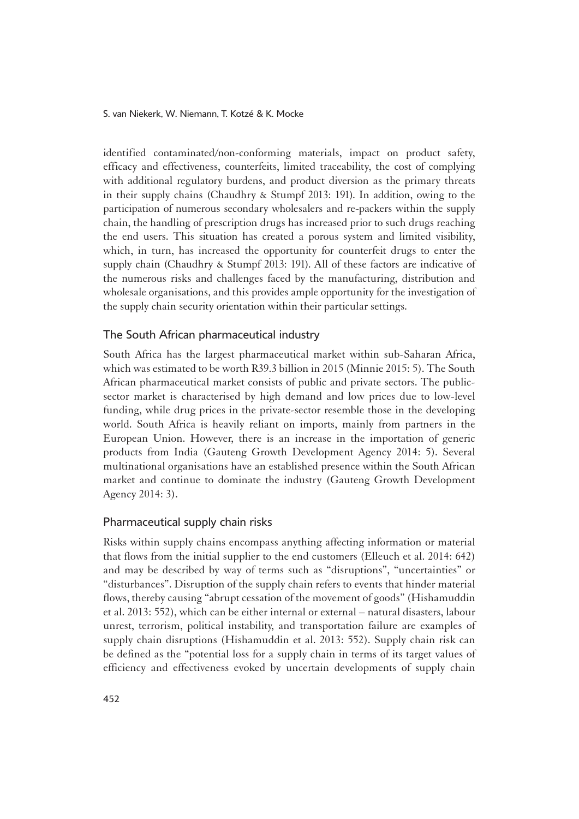identified contaminated/non-conforming materials, impact on product safety, efficacy and effectiveness, counterfeits, limited traceability, the cost of complying with additional regulatory burdens, and product diversion as the primary threats in their supply chains (Chaudhry & Stumpf 2013: 191). In addition, owing to the participation of numerous secondary wholesalers and re-packers within the supply chain, the handling of prescription drugs has increased prior to such drugs reaching the end users. This situation has created a porous system and limited visibility, which, in turn, has increased the opportunity for counterfeit drugs to enter the supply chain (Chaudhry & Stumpf 2013: 191). All of these factors are indicative of the numerous risks and challenges faced by the manufacturing, distribution and wholesale organisations, and this provides ample opportunity for the investigation of the supply chain security orientation within their particular settings.

#### The South African pharmaceutical industry

South Africa has the largest pharmaceutical market within sub-Saharan Africa, which was estimated to be worth R39.3 billion in 2015 (Minnie 2015: 5). The South African pharmaceutical market consists of public and private sectors. The publicsector market is characterised by high demand and low prices due to low-level funding, while drug prices in the private-sector resemble those in the developing world. South Africa is heavily reliant on imports, mainly from partners in the European Union. However, there is an increase in the importation of generic products from India (Gauteng Growth Development Agency 2014: 5). Several multinational organisations have an established presence within the South African market and continue to dominate the industry (Gauteng Growth Development Agency 2014: 3).

## Pharmaceutical supply chain risks

Risks within supply chains encompass anything affecting information or material that flows from the initial supplier to the end customers (Elleuch et al. 2014: 642) and may be described by way of terms such as "disruptions", "uncertainties" or "disturbances". Disruption of the supply chain refers to events that hinder material flows, thereby causing "abrupt cessation of the movement of goods" (Hishamuddin et al. 2013: 552), which can be either internal or external – natural disasters, labour unrest, terrorism, political instability, and transportation failure are examples of supply chain disruptions (Hishamuddin et al. 2013: 552). Supply chain risk can be defined as the "potential loss for a supply chain in terms of its target values of efficiency and effectiveness evoked by uncertain developments of supply chain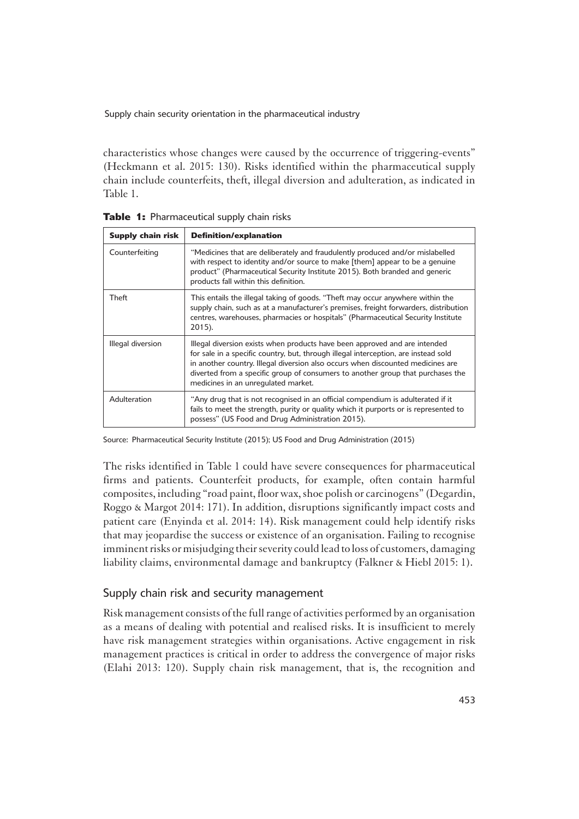characteristics whose changes were caused by the occurrence of triggering-events" (Heckmann et al. 2015: 130). Risks identified within the pharmaceutical supply chain include counterfeits, theft, illegal diversion and adulteration, as indicated in Table 1.

| Supply chain risk | <b>Definition/explanation</b>                                                                                                                                                                                                                                                                                                                                                  |
|-------------------|--------------------------------------------------------------------------------------------------------------------------------------------------------------------------------------------------------------------------------------------------------------------------------------------------------------------------------------------------------------------------------|
| Counterfeiting    | "Medicines that are deliberately and fraudulently produced and/or mislabelled<br>with respect to identity and/or source to make [them] appear to be a genuine<br>product" (Pharmaceutical Security Institute 2015). Both branded and generic<br>products fall within this definition.                                                                                          |
| Theft             | This entails the illegal taking of goods. "Theft may occur anywhere within the<br>supply chain, such as at a manufacturer's premises, freight forwarders, distribution<br>centres, warehouses, pharmacies or hospitals" (Pharmaceutical Security Institute<br>$2015$ ).                                                                                                        |
| Illegal diversion | Illegal diversion exists when products have been approved and are intended<br>for sale in a specific country, but, through illegal interception, are instead sold<br>in another country. Illegal diversion also occurs when discounted medicines are<br>diverted from a specific group of consumers to another group that purchases the<br>medicines in an unregulated market. |
| Adulteration      | "Any drug that is not recognised in an official compendium is adulterated if it<br>fails to meet the strength, purity or quality which it purports or is represented to<br>possess" (US Food and Drug Administration 2015).                                                                                                                                                    |

**Table 1:** Pharmaceutical supply chain risks

1Source: Pharmaceutical Security Institute (2015); US Food and Drug Administration (2015)

1The risks identified in Table 1 could have severe consequences for pharmaceutical firms and patients. Counterfeit products, for example, often contain harmful composites, including "road paint, floor wax, shoe polish or carcinogens" (Degardin, Roggo & Margot 2014: 171). In addition, disruptions significantly impact costs and patient care (Enyinda et al. 2014: 14). Risk management could help identify risks that may jeopardise the success or existence of an organisation. Failing to recognise imminent risks or misjudging their severity could lead to loss of customers, damaging liability claims, environmental damage and bankruptcy (Falkner & Hiebl 2015: 1).

# Supply chain risk and security management

1Risk management consists of the full range of activities performed by an organisation as a means of dealing with potential and realised risks. It is insufficient to merely have risk management strategies within organisations. Active engagement in risk management practices is critical in order to address the convergence of major risks (Elahi 2013: 120). Supply chain risk management, that is, the recognition and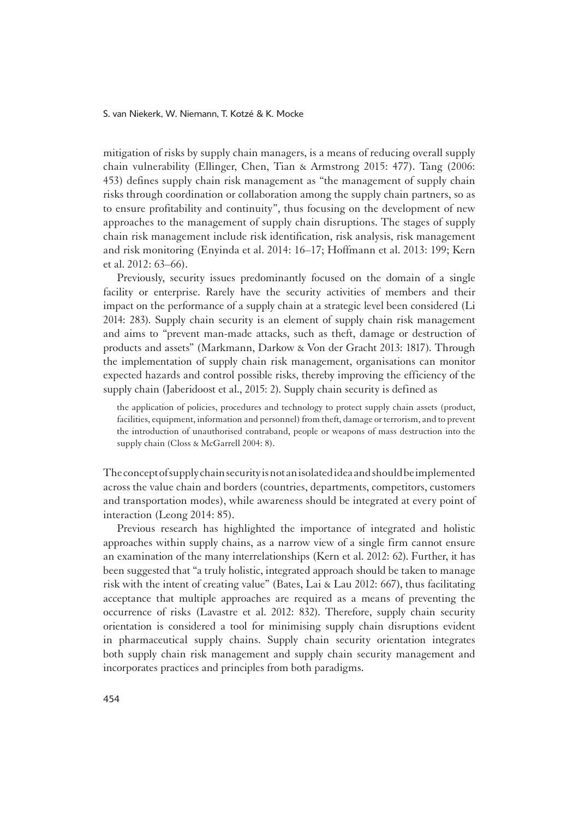mitigation of risks by supply chain managers, is a means of reducing overall supply chain vulnerability (Ellinger, Chen, Tian & Armstrong 2015: 477). Tang (2006: 453) defines supply chain risk management as "the management of supply chain risks through coordination or collaboration among the supply chain partners, so as to ensure profitability and continuity", thus focusing on the development of new approaches to the management of supply chain disruptions. The stages of supply chain risk management include risk identification, risk analysis, risk management and risk monitoring (Enyinda et al. 2014: 16–17; Hoffmann et al. 2013: 199; Kern et al. 2012: 63–66).

Previously, security issues predominantly focused on the domain of a single facility or enterprise. Rarely have the security activities of members and their impact on the performance of a supply chain at a strategic level been considered (Li 2014: 283). Supply chain security is an element of supply chain risk management and aims to "prevent man-made attacks, such as theft, damage or destruction of products and assets" (Markmann, Darkow & Von der Gracht 2013: 1817). Through the implementation of supply chain risk management, organisations can monitor expected hazards and control possible risks, thereby improving the efficiency of the supply chain (Jaberidoost et al., 2015: 2). Supply chain security is defined as

the application of policies, procedures and technology to protect supply chain assets (product, facilities, equipment, information and personnel) from theft, damage or terrorism, and to prevent the introduction of unauthorised contraband, people or weapons of mass destruction into the supply chain (Closs & McGarrell 2004: 8).

1The concept of supply chain security is not an isolated idea and should be implemented across the value chain and borders (countries, departments, competitors, customers and transportation modes), while awareness should be integrated at every point of interaction (Leong 2014: 85).

2Previous research has highlighted the importance of integrated and holistic approaches within supply chains, as a narrow view of a single firm cannot ensure an examination of the many interrelationships (Kern et al. 2012: 62). Further, it has been suggested that "a truly holistic, integrated approach should be taken to manage risk with the intent of creating value" (Bates, Lai & Lau 2012: 667), thus facilitating acceptance that multiple approaches are required as a means of preventing the occurrence of risks (Lavastre et al. 2012: 832). Therefore, supply chain security orientation is considered a tool for minimising supply chain disruptions evident in pharmaceutical supply chains. Supply chain security orientation integrates both supply chain risk management and supply chain security management and incorporates practices and principles from both paradigms.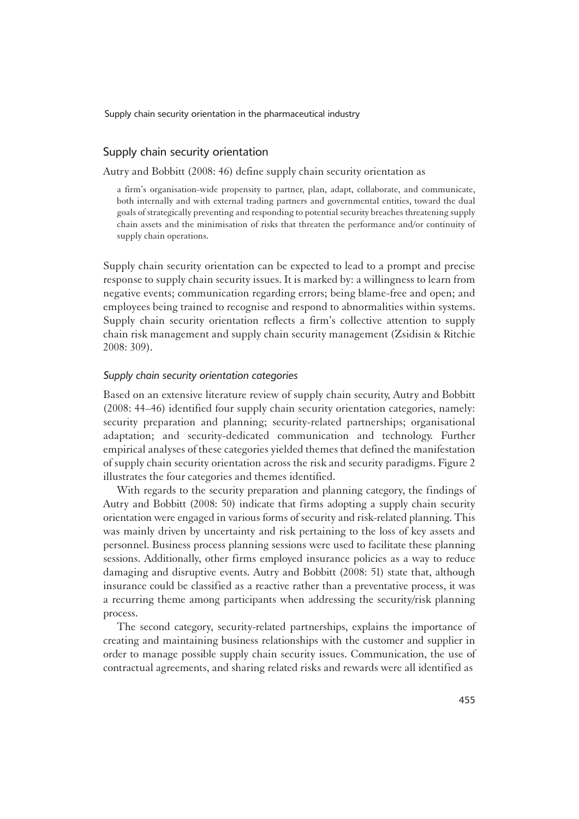#### Supply chain security orientation

1Autry and Bobbitt (2008: 46) define supply chain security orientation as

a firm's organisation-wide propensity to partner, plan, adapt, collaborate, and communicate, both internally and with external trading partners and governmental entities, toward the dual goals of strategically preventing and responding to potential security breaches threatening supply chain assets and the minimisation of risks that threaten the performance and/or continuity of supply chain operations.

Supply chain security orientation can be expected to lead to a prompt and precise response to supply chain security issues. It is marked by: a willingness to learn from negative events; communication regarding errors; being blame-free and open; and employees being trained to recognise and respond to abnormalities within systems. Supply chain security orientation reflects a firm's collective attention to supply chain risk management and supply chain security management (Zsidisin & Ritchie 2008: 309).

#### *Supply chain security orientation categories*

1Based on an extensive literature review of supply chain security, Autry and Bobbitt (2008: 44–46) identified four supply chain security orientation categories, namely: security preparation and planning; security-related partnerships; organisational adaptation; and security-dedicated communication and technology. Further empirical analyses of these categories yielded themes that defined the manifestation of supply chain security orientation across the risk and security paradigms. Figure 2 illustrates the four categories and themes identified.

With regards to the security preparation and planning category, the findings of Autry and Bobbitt (2008: 50) indicate that firms adopting a supply chain security orientation were engaged in various forms of security and risk-related planning. This was mainly driven by uncertainty and risk pertaining to the loss of key assets and personnel. Business process planning sessions were used to facilitate these planning sessions. Additionally, other firms employed insurance policies as a way to reduce damaging and disruptive events. Autry and Bobbitt (2008: 51) state that, although insurance could be classified as a reactive rather than a preventative process, it was a recurring theme among participants when addressing the security/risk planning process.

The second category, security-related partnerships, explains the importance of creating and maintaining business relationships with the customer and supplier in order to manage possible supply chain security issues. Communication, the use of contractual agreements, and sharing related risks and rewards were all identified as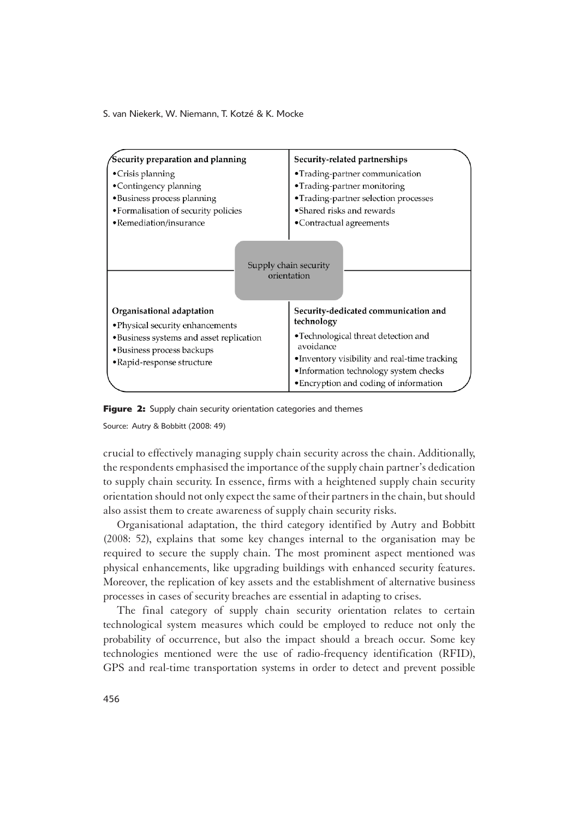

**Figure 2:** Supply chain security orientation categories and themes

Source: Autry & Bobbitt (2008: 49)

1crucial to effectively managing supply chain security across the chain. Additionally, the respondents emphasised the importance of the supply chain partner's dedication to supply chain security. In essence, firms with a heightened supply chain security orientation should not only expect the same of their partners in the chain, but should also assist them to create awareness of supply chain security risks.

Organisational adaptation, the third category identified by Autry and Bobbitt (2008: 52), explains that some key changes internal to the organisation may be required to secure the supply chain. The most prominent aspect mentioned was physical enhancements, like upgrading buildings with enhanced security features. Moreover, the replication of key assets and the establishment of alternative business processes in cases of security breaches are essential in adapting to crises.

The final category of supply chain security orientation relates to certain technological system measures which could be employed to reduce not only the probability of occurrence, but also the impact should a breach occur. Some key technologies mentioned were the use of radio-frequency identification (RFID), GPS and real-time transportation systems in order to detect and prevent possible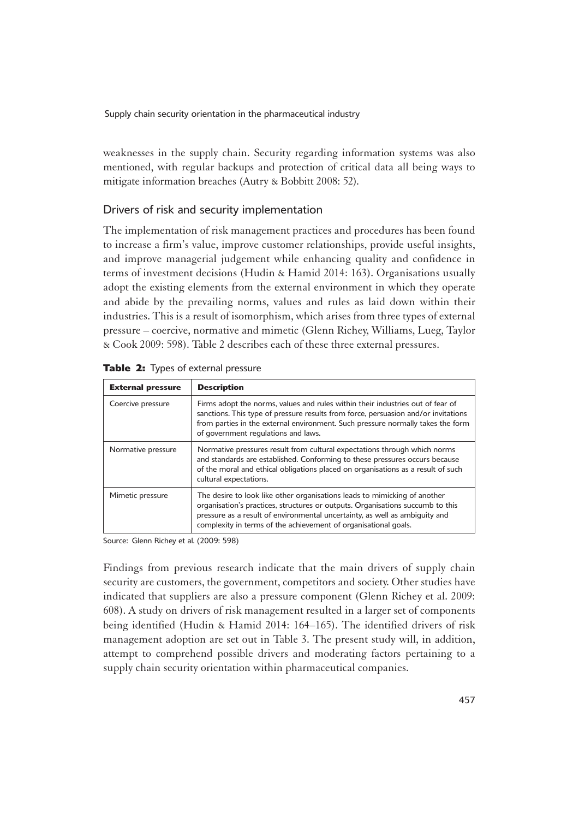weaknesses in the supply chain. Security regarding information systems was also mentioned, with regular backups and protection of critical data all being ways to mitigate information breaches (Autry & Bobbitt 2008: 52).

# Drivers of risk and security implementation

1The implementation of risk management practices and procedures has been found to increase a firm's value, improve customer relationships, provide useful insights, and improve managerial judgement while enhancing quality and confidence in terms of investment decisions (Hudin & Hamid 2014: 163). Organisations usually adopt the existing elements from the external environment in which they operate and abide by the prevailing norms, values and rules as laid down within their industries. This is a result of isomorphism, which arises from three types of external pressure – coercive, normative and mimetic (Glenn Richey, Williams, Lueg, Taylor & Cook 2009: 598). Table 2 describes each of these three external pressures.

| <b>External pressure</b> | <b>Description</b>                                                                                                                                                                                                                                                                                            |
|--------------------------|---------------------------------------------------------------------------------------------------------------------------------------------------------------------------------------------------------------------------------------------------------------------------------------------------------------|
| Coercive pressure        | Firms adopt the norms, values and rules within their industries out of fear of<br>sanctions. This type of pressure results from force, persuasion and/or invitations<br>from parties in the external environment. Such pressure normally takes the form<br>of government regulations and laws.                |
| Normative pressure       | Normative pressures result from cultural expectations through which norms<br>and standards are established. Conforming to these pressures occurs because<br>of the moral and ethical obligations placed on organisations as a result of such<br>cultural expectations.                                        |
| Mimetic pressure         | The desire to look like other organisations leads to mimicking of another<br>organisation's practices, structures or outputs. Organisations succumb to this<br>pressure as a result of environmental uncertainty, as well as ambiguity and<br>complexity in terms of the achievement of organisational goals. |

**Table 2:** Types of external pressure

Source: Glenn Richey et al. (2009: 598)

1Findings from previous research indicate that the main drivers of supply chain security are customers, the government, competitors and society. Other studies have indicated that suppliers are also a pressure component (Glenn Richey et al. 2009: 608). A study on drivers of risk management resulted in a larger set of components being identified (Hudin & Hamid 2014: 164–165). The identified drivers of risk management adoption are set out in Table 3. The present study will, in addition, attempt to comprehend possible drivers and moderating factors pertaining to a supply chain security orientation within pharmaceutical companies.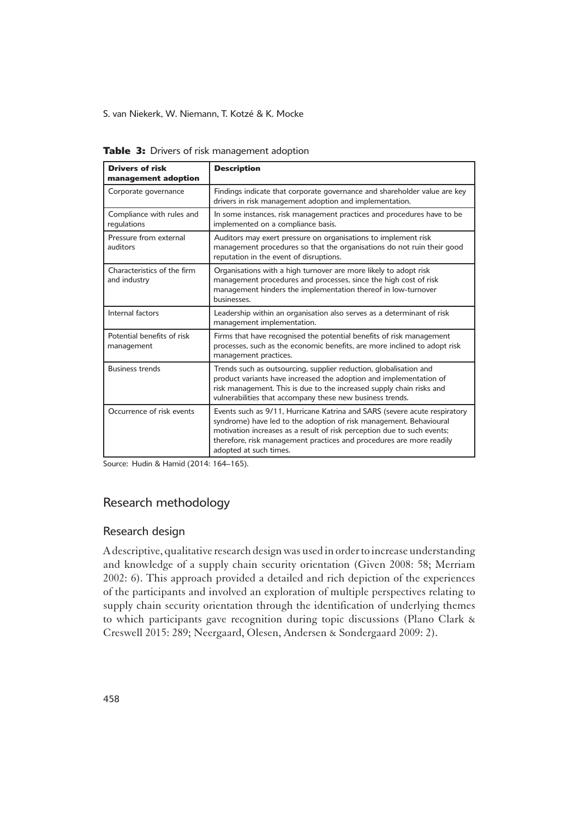| <b>Drivers of risk</b><br>management adoption | <b>Description</b>                                                                                                                                                                                                                                                                                                           |
|-----------------------------------------------|------------------------------------------------------------------------------------------------------------------------------------------------------------------------------------------------------------------------------------------------------------------------------------------------------------------------------|
| Corporate governance                          | Findings indicate that corporate governance and shareholder value are key<br>drivers in risk management adoption and implementation.                                                                                                                                                                                         |
| Compliance with rules and<br>regulations      | In some instances, risk management practices and procedures have to be<br>implemented on a compliance basis.                                                                                                                                                                                                                 |
| Pressure from external<br>auditors            | Auditors may exert pressure on organisations to implement risk<br>management procedures so that the organisations do not ruin their good<br>reputation in the event of disruptions.                                                                                                                                          |
| Characteristics of the firm<br>and industry   | Organisations with a high turnover are more likely to adopt risk<br>management procedures and processes, since the high cost of risk<br>management hinders the implementation thereof in low-turnover<br>businesses.                                                                                                         |
| Internal factors                              | Leadership within an organisation also serves as a determinant of risk<br>management implementation.                                                                                                                                                                                                                         |
| Potential benefits of risk<br>management      | Firms that have recognised the potential benefits of risk management<br>processes, such as the economic benefits, are more inclined to adopt risk<br>management practices.                                                                                                                                                   |
| <b>Business trends</b>                        | Trends such as outsourcing, supplier reduction, globalisation and<br>product variants have increased the adoption and implementation of<br>risk management. This is due to the increased supply chain risks and<br>vulnerabilities that accompany these new business trends.                                                 |
| Occurrence of risk events                     | Events such as 9/11, Hurricane Katrina and SARS (severe acute respiratory<br>syndrome) have led to the adoption of risk management. Behavioural<br>motivation increases as a result of risk perception due to such events;<br>therefore, risk management practices and procedures are more readily<br>adopted at such times. |

**Table 3:** Drivers of risk management adoption

Source: Hudin & Hamid (2014: 164-165).

# Research methodology

# Research design

1A descriptive, qualitative research design was used in order to increase understanding and knowledge of a supply chain security orientation (Given 2008: 58; Merriam 2002: 6). This approach provided a detailed and rich depiction of the experiences of the participants and involved an exploration of multiple perspectives relating to supply chain security orientation through the identification of underlying themes to which participants gave recognition during topic discussions (Plano Clark & Creswell 2015: 289; Neergaard, Olesen, Andersen & Sondergaard 2009: 2).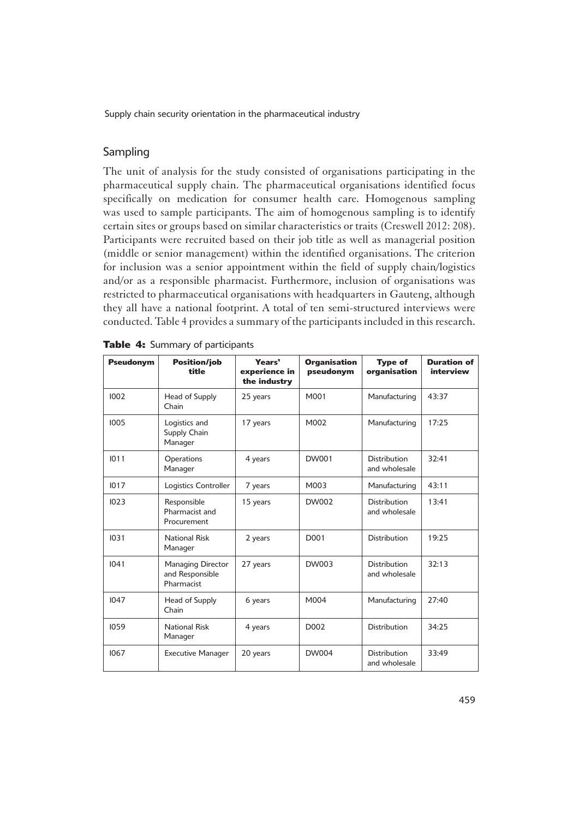# Sampling

1The unit of analysis for the study consisted of organisations participating in the pharmaceutical supply chain. The pharmaceutical organisations identified focus specifically on medication for consumer health care. Homogenous sampling was used to sample participants. The aim of homogenous sampling is to identify certain sites or groups based on similar characteristics or traits (Creswell 2012: 208). Participants were recruited based on their job title as well as managerial position (middle or senior management) within the identified organisations. The criterion for inclusion was a senior appointment within the field of supply chain/logistics and/or as a responsible pharmacist. Furthermore, inclusion of organisations was restricted to pharmaceutical organisations with headquarters in Gauteng, although they all have a national footprint. A total of ten semi-structured interviews were conducted. Table 4 provides a summary of the participants included in this research.

| <b>Pseudonym</b> | <b>Position/job</b><br>title                              | Years'<br><b>Organisation</b><br>experience in<br>pseudonym<br>the industry |                  | <b>Type of</b><br>organisation       | <b>Duration of</b><br>interview |  |
|------------------|-----------------------------------------------------------|-----------------------------------------------------------------------------|------------------|--------------------------------------|---------------------------------|--|
| 1002             | Head of Supply<br>Chain                                   | 25 years                                                                    | M001             | Manufacturing                        | 43:37                           |  |
| 1005             | Logistics and<br>Supply Chain<br>Manager                  | 17 years                                                                    | M002             | Manufacturing                        | 17:25                           |  |
| 1011             | Operations<br>Manager                                     | 4 years                                                                     | DW001            | <b>Distribution</b><br>and wholesale | 32:41                           |  |
| 1017             | Logistics Controller                                      | 7 years                                                                     | M003             | Manufacturing                        | 43:11                           |  |
| 1023             | Responsible<br>Pharmacist and<br>Procurement              | 15 years                                                                    | DW002            | Distribution<br>and wholesale        | 13:41                           |  |
| 1031             | <b>National Risk</b><br>Manager                           | 2 years                                                                     | D <sub>001</sub> | <b>Distribution</b>                  | 19:25                           |  |
| 1041             | <b>Managing Director</b><br>and Responsible<br>Pharmacist | 27 years                                                                    | DW003            | <b>Distribution</b><br>and wholesale | 32:13                           |  |
| 1047             | Head of Supply<br>Chain                                   | 6 years                                                                     | M004             | Manufacturing                        | 27:40                           |  |
| 1059             | <b>National Risk</b><br>Manager                           | 4 years                                                                     | D <sub>002</sub> | <b>Distribution</b>                  | 34:25                           |  |
| 1067             | <b>Executive Manager</b>                                  | 20 years                                                                    | <b>DW004</b>     | <b>Distribution</b><br>and wholesale | 33:49                           |  |

| Table 4: Summary of participants |  |
|----------------------------------|--|
|----------------------------------|--|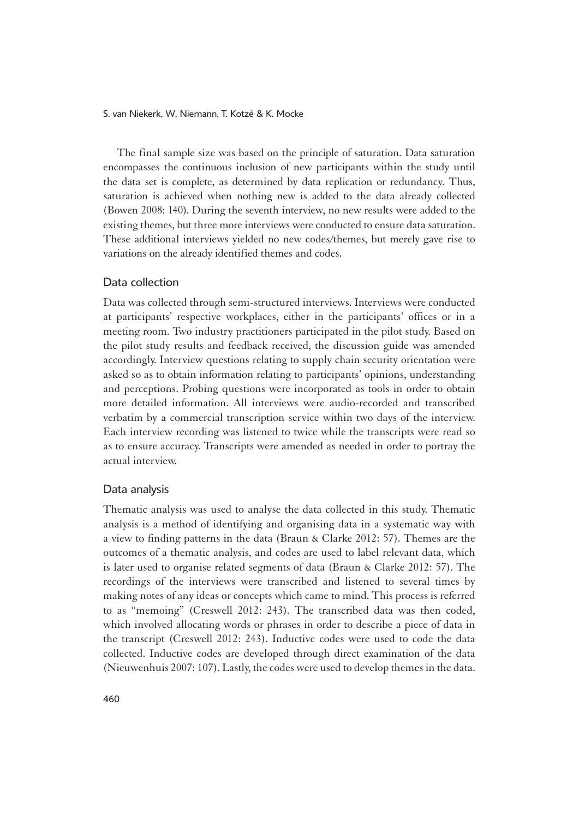2The final sample size was based on the principle of saturation. Data saturation encompasses the continuous inclusion of new participants within the study until the data set is complete, as determined by data replication or redundancy. Thus, saturation is achieved when nothing new is added to the data already collected (Bowen 2008: 140). During the seventh interview, no new results were added to the existing themes, but three more interviews were conducted to ensure data saturation. These additional interviews yielded no new codes/themes, but merely gave rise to variations on the already identified themes and codes.

## Data collection

1Data was collected through semi-structured interviews. Interviews were conducted at participants' respective workplaces, either in the participants' offices or in a meeting room. Two industry practitioners participated in the pilot study. Based on the pilot study results and feedback received, the discussion guide was amended accordingly. Interview questions relating to supply chain security orientation were asked so as to obtain information relating to participants' opinions, understanding and perceptions. Probing questions were incorporated as tools in order to obtain more detailed information. All interviews were audio-recorded and transcribed verbatim by a commercial transcription service within two days of the interview. Each interview recording was listened to twice while the transcripts were read so as to ensure accuracy. Transcripts were amended as needed in order to portray the actual interview.

#### Data analysis

1Thematic analysis was used to analyse the data collected in this study. Thematic analysis is a method of identifying and organising data in a systematic way with a view to finding patterns in the data (Braun & Clarke 2012: 57). Themes are the outcomes of a thematic analysis, and codes are used to label relevant data, which is later used to organise related segments of data (Braun & Clarke 2012: 57). The recordings of the interviews were transcribed and listened to several times by making notes of any ideas or concepts which came to mind. This process is referred to as "memoing" (Creswell 2012: 243). The transcribed data was then coded, which involved allocating words or phrases in order to describe a piece of data in the transcript (Creswell 2012: 243). Inductive codes were used to code the data collected. Inductive codes are developed through direct examination of the data (Nieuwenhuis 2007: 107). Lastly, the codes were used to develop themes in the data.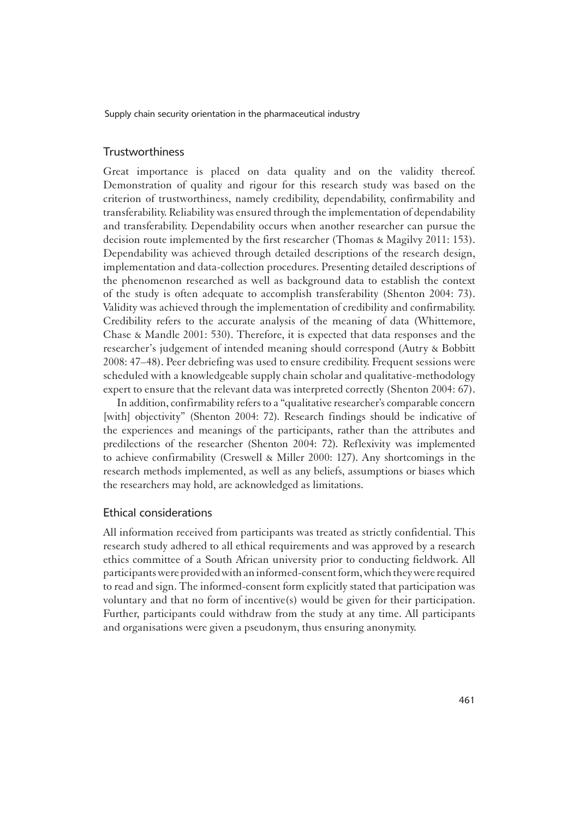#### Trustworthiness

Great importance is placed on data quality and on the validity thereof. Demonstration of quality and rigour for this research study was based on the criterion of trustworthiness, namely credibility, dependability, confirmability and transferability. Reliability was ensured through the implementation of dependability and transferability. Dependability occurs when another researcher can pursue the decision route implemented by the first researcher (Thomas & Magilvy 2011: 153). Dependability was achieved through detailed descriptions of the research design, implementation and data-collection procedures. Presenting detailed descriptions of the phenomenon researched as well as background data to establish the context of the study is often adequate to accomplish transferability (Shenton 2004: 73). Validity was achieved through the implementation of credibility and confirmability. Credibility refers to the accurate analysis of the meaning of data (Whittemore, Chase & Mandle 2001: 530). Therefore, it is expected that data responses and the researcher's judgement of intended meaning should correspond (Autry & Bobbitt 2008: 47–48). Peer debriefing was used to ensure credibility. Frequent sessions were scheduled with a knowledgeable supply chain scholar and qualitative-methodology expert to ensure that the relevant data was interpreted correctly (Shenton 2004: 67).

2In addition, confirmability refers to a "qualitative researcher's comparable concern [with] objectivity" (Shenton 2004: 72). Research findings should be indicative of the experiences and meanings of the participants, rather than the attributes and predilections of the researcher (Shenton 2004: 72). Reflexivity was implemented to achieve confirmability (Creswell & Miller 2000: 127). Any shortcomings in the research methods implemented, as well as any beliefs, assumptions or biases which the researchers may hold, are acknowledged as limitations.

#### Ethical considerations

1All information received from participants was treated as strictly confidential. This research study adhered to all ethical requirements and was approved by a research ethics committee of a South African university prior to conducting fieldwork. All participants were provided with an informed-consent form, which they were required to read and sign. The informed-consent form explicitly stated that participation was voluntary and that no form of incentive(s) would be given for their participation. Further, participants could withdraw from the study at any time. All participants and organisations were given a pseudonym, thus ensuring anonymity.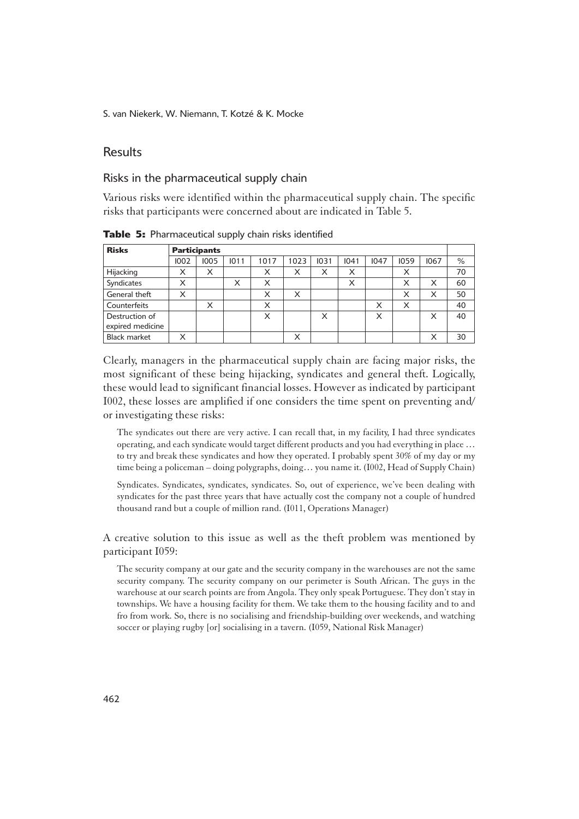## Results

## Risks in the pharmaceutical supply chain

Various risks were identified within the pharmaceutical supply chain. The specific risks that participants were concerned about are indicated in Table 5.

| <b>Risks</b>                       | <b>Participants</b> |      |      |      |      |      |      |      |      |              |    |
|------------------------------------|---------------------|------|------|------|------|------|------|------|------|--------------|----|
|                                    | 1002                | 1005 | 1011 | 1017 | 1023 | 1031 | 1041 | 1047 | 1059 | 1067         | %  |
| Hijacking                          | X                   | X    |      | X    | X    | X    | X    |      | X    |              | 70 |
| Syndicates                         | X                   |      | X    | X    |      |      | X    |      | X    | X            | 60 |
| General theft                      | X                   |      |      | X    | X    |      |      |      | X    | X            | 50 |
| Counterfeits                       |                     | X    |      | X    |      |      |      | X    | X    |              | 40 |
| Destruction of<br>expired medicine |                     |      |      | X    |      | X    |      | X    |      | X            | 40 |
| <b>Black market</b>                | X                   |      |      |      | X    |      |      |      |      | $\checkmark$ | 30 |

**Table 5:** Pharmaceutical supply chain risks identified

1Clearly, managers in the pharmaceutical supply chain are facing major risks, the most significant of these being hijacking, syndicates and general theft. Logically, these would lead to significant financial losses. However as indicated by participant I002, these losses are amplified if one considers the time spent on preventing and/ or investigating these risks:

The syndicates out there are very active. I can recall that, in my facility, I had three syndicates operating, and each syndicate would target different products and you had everything in place … to try and break these syndicates and how they operated. I probably spent 30% of my day or my time being a policeman – doing polygraphs, doing… you name it. (I002, Head of Supply Chain)

Syndicates. Syndicates, syndicates, syndicates. So, out of experience, we've been dealing with syndicates for the past three years that have actually cost the company not a couple of hundred thousand rand but a couple of million rand. (I011, Operations Manager)

1A creative solution to this issue as well as the theft problem was mentioned by participant I059:

The security company at our gate and the security company in the warehouses are not the same security company. The security company on our perimeter is South African. The guys in the warehouse at our search points are from Angola. They only speak Portuguese. They don't stay in townships. We have a housing facility for them. We take them to the housing facility and to and fro from work. So, there is no socialising and friendship-building over weekends, and watching soccer or playing rugby [or] socialising in a tavern. (I059, National Risk Manager)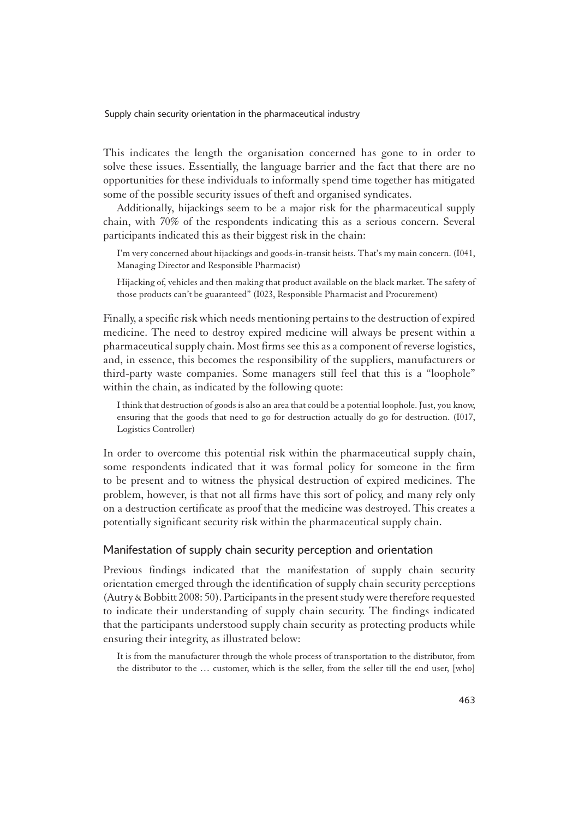1This indicates the length the organisation concerned has gone to in order to solve these issues. Essentially, the language barrier and the fact that there are no opportunities for these individuals to informally spend time together has mitigated some of the possible security issues of theft and organised syndicates.

2Additionally, hijackings seem to be a major risk for the pharmaceutical supply chain, with 70% of the respondents indicating this as a serious concern. Several participants indicated this as their biggest risk in the chain:

I'm very concerned about hijackings and goods-in-transit heists. That's my main concern. (I041, Managing Director and Responsible Pharmacist)

Hijacking of, vehicles and then making that product available on the black market. The safety of those products can't be guaranteed" (I023, Responsible Pharmacist and Procurement)

1Finally, a specific risk which needs mentioning pertains to the destruction of expired medicine. The need to destroy expired medicine will always be present within a pharmaceutical supply chain. Most firms see this as a component of reverse logistics, and, in essence, this becomes the responsibility of the suppliers, manufacturers or third-party waste companies. Some managers still feel that this is a "loophole" within the chain, as indicated by the following quote:

I think that destruction of goods is also an area that could be a potential loophole. Just, you know, ensuring that the goods that need to go for destruction actually do go for destruction. (I017, Logistics Controller)

In order to overcome this potential risk within the pharmaceutical supply chain, some respondents indicated that it was formal policy for someone in the firm to be present and to witness the physical destruction of expired medicines. The problem, however, is that not all firms have this sort of policy, and many rely only on a destruction certificate as proof that the medicine was destroyed. This creates a potentially significant security risk within the pharmaceutical supply chain.

# Manifestation of supply chain security perception and orientation

1Previous findings indicated that the manifestation of supply chain security orientation emerged through the identification of supply chain security perceptions (Autry & Bobbitt 2008: 50). Participants in the present study were therefore requested to indicate their understanding of supply chain security. The findings indicated that the participants understood supply chain security as protecting products while ensuring their integrity, as illustrated below:

It is from the manufacturer through the whole process of transportation to the distributor, from the distributor to the … customer, which is the seller, from the seller till the end user, [who]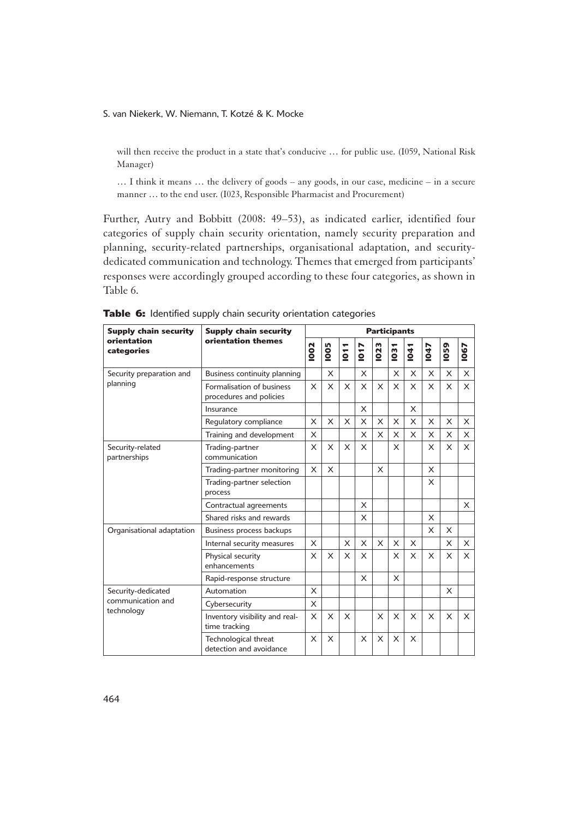will then receive the product in a state that's conducive … for public use. (I059, National Risk Manager)

… I think it means … the delivery of goods – any goods, in our case, medicine – in a secure manner … to the end user. (I023, Responsible Pharmacist and Procurement)

1Further, Autry and Bobbitt (2008: 49–53), as indicated earlier, identified four categories of supply chain security orientation, namely security preparation and planning, security-related partnerships, organisational adaptation, and securitydedicated communication and technology. Themes that emerged from participants' responses were accordingly grouped according to these four categories, as shown in Table 6.

| <b>Supply chain security</b>     | <b>Supply chain security</b><br>orientation themes   |   | <b>Participants</b> |                                   |      |          |                              |              |      |             |          |  |
|----------------------------------|------------------------------------------------------|---|---------------------|-----------------------------------|------|----------|------------------------------|--------------|------|-------------|----------|--|
| orientation<br>categories        |                                                      |   | 1005                | ↽<br>÷<br>$\overline{\mathbf{e}}$ | 1017 | 1023     | m<br>$\overline{\mathbf{C}}$ | $\mathbf{a}$ | 1047 | <b>1059</b> | 1067     |  |
| Security preparation and         | Business continuity planning                         |   | X                   |                                   | X    |          | X                            | X            | X    | X           | $\times$ |  |
| planning                         | Formalisation of business<br>procedures and policies | X | X                   | X                                 | X    | X        | X                            | X            | X    | X           | X        |  |
|                                  | Insurance                                            |   |                     |                                   | X    |          |                              | X            |      |             |          |  |
|                                  | Regulatory compliance                                | X | X                   | X                                 | X    | $\times$ | X                            | X            | X    | X           | X        |  |
|                                  | Training and development                             | X |                     |                                   | X    | X        | X                            | X            | X    | X           | X        |  |
| Security-related<br>partnerships | Trading-partner<br>communication                     |   | $\times$            | X                                 | X    |          | $\times$                     |              | X    | X           | $\times$ |  |
|                                  | Trading-partner monitoring                           | X | X                   |                                   |      | X        |                              |              | X    |             |          |  |
|                                  | Trading-partner selection<br>process                 |   |                     |                                   |      |          |                              |              | X    |             |          |  |
|                                  | Contractual agreements                               |   |                     |                                   | X    |          |                              |              |      |             | $\times$ |  |
|                                  | Shared risks and rewards                             |   |                     |                                   | X    |          |                              |              | X    |             |          |  |
| Organisational adaptation        | Business process backups                             |   |                     |                                   |      |          |                              |              | X    | X           |          |  |
|                                  | Internal security measures                           | X |                     | X                                 | X    | $\times$ | X                            | X            |      | X           | X        |  |
|                                  | Physical security<br>enhancements                    | X | X                   | X                                 | X    |          | X                            | X            | X    | X           | X        |  |
|                                  | Rapid-response structure                             |   |                     |                                   | X    |          | X                            |              |      |             |          |  |
| Security-dedicated               | Automation                                           |   |                     |                                   |      |          |                              |              |      | X           |          |  |
| communication and<br>technology  | Cybersecurity                                        | X |                     |                                   |      |          |                              |              |      |             |          |  |
|                                  | Inventory visibility and real-<br>time tracking      | X | X                   | X                                 |      | X        | X                            | X            | X    | X           | $\times$ |  |
|                                  | Technological threat<br>detection and avoidance      | X | X                   |                                   | X    | X        | X                            | X            |      |             |          |  |

**Table 6:** Identified supply chain security orientation categories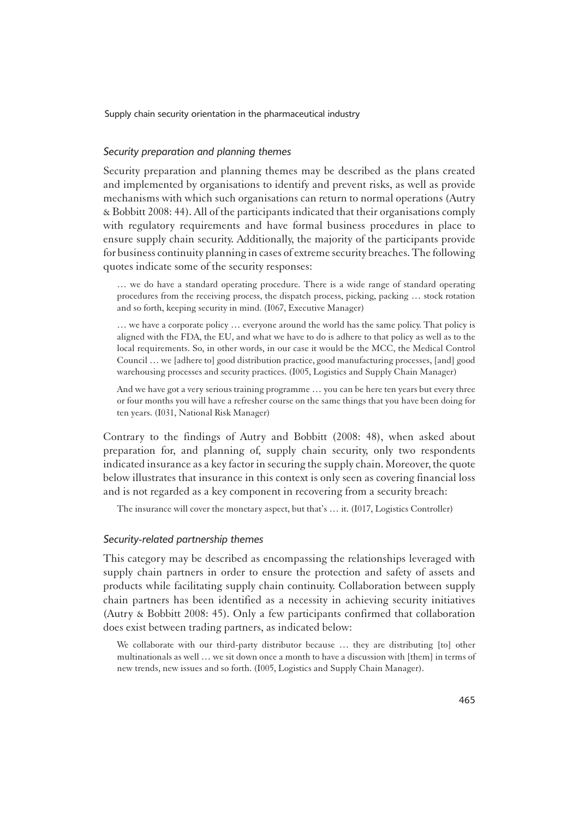#### *Security preparation and planning themes*

Security preparation and planning themes may be described as the plans created and implemented by organisations to identify and prevent risks, as well as provide mechanisms with which such organisations can return to normal operations (Autry & Bobbitt 2008: 44). All of the participants indicated that their organisations comply with regulatory requirements and have formal business procedures in place to ensure supply chain security. Additionally, the majority of the participants provide for business continuity planning in cases of extreme security breaches. The following quotes indicate some of the security responses:

… we do have a standard operating procedure. There is a wide range of standard operating procedures from the receiving process, the dispatch process, picking, packing … stock rotation and so forth, keeping security in mind. (I067, Executive Manager)

… we have a corporate policy … everyone around the world has the same policy. That policy is aligned with the FDA, the EU, and what we have to do is adhere to that policy as well as to the local requirements. So, in other words, in our case it would be the MCC, the Medical Control Council … we [adhere to] good distribution practice, good manufacturing processes, [and] good warehousing processes and security practices. (I005, Logistics and Supply Chain Manager)

And we have got a very serious training programme … you can be here ten years but every three or four months you will have a refresher course on the same things that you have been doing for ten years. (I031, National Risk Manager)

1Contrary to the findings of Autry and Bobbitt (2008: 48), when asked about preparation for, and planning of, supply chain security, only two respondents indicated insurance as a key factor in securing the supply chain. Moreover, the quote below illustrates that insurance in this context is only seen as covering financial loss and is not regarded as a key component in recovering from a security breach:

The insurance will cover the monetary aspect, but that's … it. (I017, Logistics Controller)

#### *Security-related partnership themes*

1This category may be described as encompassing the relationships leveraged with supply chain partners in order to ensure the protection and safety of assets and products while facilitating supply chain continuity. Collaboration between supply chain partners has been identified as a necessity in achieving security initiatives (Autry & Bobbitt 2008: 45). Only a few participants confirmed that collaboration does exist between trading partners, as indicated below:

We collaborate with our third-party distributor because ... they are distributing [to] other multinationals as well … we sit down once a month to have a discussion with [them] in terms of new trends, new issues and so forth. (I005, Logistics and Supply Chain Manager).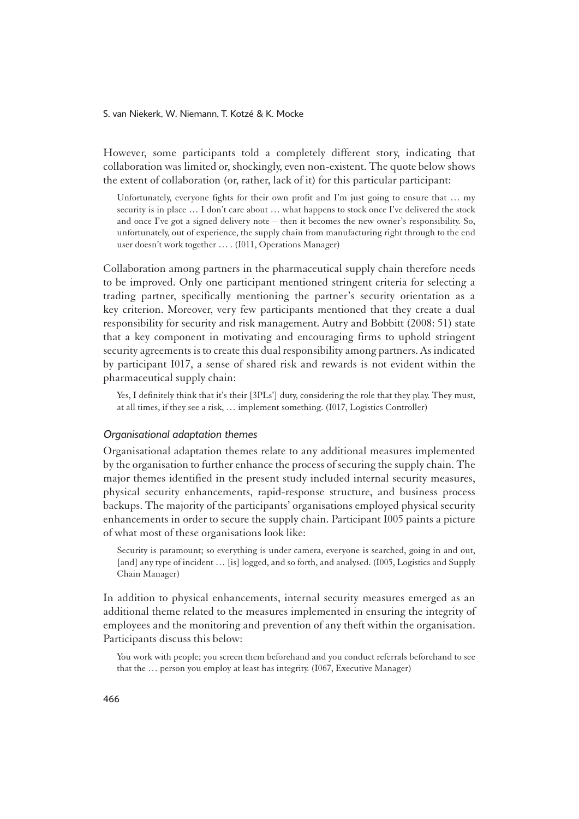1However, some participants told a completely different story, indicating that collaboration was limited or, shockingly, even non-existent. The quote below shows the extent of collaboration (or, rather, lack of it) for this particular participant:

Unfortunately, everyone fights for their own profit and I'm just going to ensure that … my security is in place … I don't care about … what happens to stock once I've delivered the stock and once I've got a signed delivery note – then it becomes the new owner's responsibility. So, unfortunately, out of experience, the supply chain from manufacturing right through to the end user doesn't work together … . (I011, Operations Manager)

1Collaboration among partners in the pharmaceutical supply chain therefore needs to be improved. Only one participant mentioned stringent criteria for selecting a trading partner, specifically mentioning the partner's security orientation as a key criterion. Moreover, very few participants mentioned that they create a dual responsibility for security and risk management. Autry and Bobbitt (2008: 51) state that a key component in motivating and encouraging firms to uphold stringent security agreements is to create this dual responsibility among partners. As indicated by participant I017, a sense of shared risk and rewards is not evident within the pharmaceutical supply chain:

Yes, I definitely think that it's their [3PLs'] duty, considering the role that they play. They must, at all times, if they see a risk, … implement something. (I017, Logistics Controller)

#### *Organisational adaptation themes*

1Organisational adaptation themes relate to any additional measures implemented by the organisation to further enhance the process of securing the supply chain. The major themes identified in the present study included internal security measures, physical security enhancements, rapid-response structure, and business process backups. The majority of the participants' organisations employed physical security enhancements in order to secure the supply chain. Participant I005 paints a picture of what most of these organisations look like:

Security is paramount; so everything is under camera, everyone is searched, going in and out, [and] any type of incident … [is] logged, and so forth, and analysed. (I005, Logistics and Supply Chain Manager)

In addition to physical enhancements, internal security measures emerged as an additional theme related to the measures implemented in ensuring the integrity of employees and the monitoring and prevention of any theft within the organisation. Participants discuss this below:

You work with people; you screen them beforehand and you conduct referrals beforehand to see that the … person you employ at least has integrity. (I067, Executive Manager)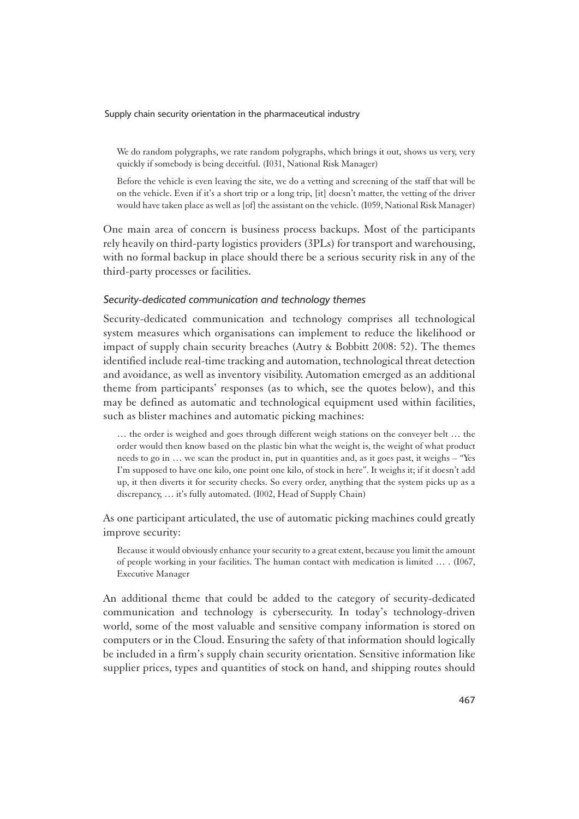We do random polygraphs, we rate random polygraphs, which brings it out, shows us very, very quickly if somebody is being deceitful. (I031, National Risk Manager)

Before the vehicle is even leaving the site, we do a vetting and screening of the staff that will be on the vehicle. Even if it's a short trip or a long trip, [it] doesn't matter, the vetting of the driver would have taken place as well as [of] the assistant on the vehicle. (I059, National Risk Manager)

1One main area of concern is business process backups. Most of the participants rely heavily on third-party logistics providers (3PLs) for transport and warehousing, with no formal backup in place should there be a serious security risk in any of the third-party processes or facilities.

#### *Security-dedicated communication and technology themes*

1Security-dedicated communication and technology comprises all technological system measures which organisations can implement to reduce the likelihood or impact of supply chain security breaches (Autry & Bobbitt 2008: 52). The themes identified include real-time tracking and automation, technological threat detection and avoidance, as well as inventory visibility. Automation emerged as an additional theme from participants' responses (as to which, see the quotes below), and this may be defined as automatic and technological equipment used within facilities, such as blister machines and automatic picking machines:

… the order is weighed and goes through different weigh stations on the conveyer belt … the order would then know based on the plastic bin what the weight is, the weight of what product needs to go in … we scan the product in, put in quantities and, as it goes past, it weighs – "Yes I'm supposed to have one kilo, one point one kilo, of stock in here". It weighs it; if it doesn't add up, it then diverts it for security checks. So every order, anything that the system picks up as a discrepancy, … it's fully automated. (I002, Head of Supply Chain)

As one participant articulated, the use of automatic picking machines could greatly improve security:

Because it would obviously enhance your security to a great extent, because you limit the amount of people working in your facilities. The human contact with medication is limited … . (I067, Executive Manager

1An additional theme that could be added to the category of security-dedicated communication and technology is cybersecurity. In today's technology-driven world, some of the most valuable and sensitive company information is stored on computers or in the Cloud. Ensuring the safety of that information should logically be included in a firm's supply chain security orientation. Sensitive information like supplier prices, types and quantities of stock on hand, and shipping routes should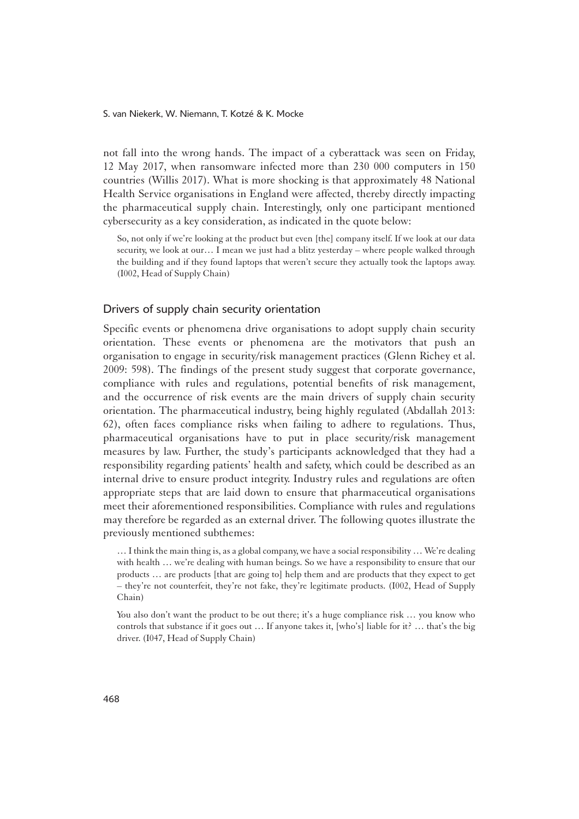not fall into the wrong hands. The impact of a cyberattack was seen on Friday, 12 May 2017, when ransomware infected more than 230 000 computers in 150 countries (Willis 2017). What is more shocking is that approximately 48 National Health Service organisations in England were affected, thereby directly impacting the pharmaceutical supply chain. Interestingly, only one participant mentioned cybersecurity as a key consideration, as indicated in the quote below:

So, not only if we're looking at the product but even [the] company itself. If we look at our data security, we look at our… I mean we just had a blitz yesterday – where people walked through the building and if they found laptops that weren't secure they actually took the laptops away. (I002, Head of Supply Chain)

#### Drivers of supply chain security orientation

Specific events or phenomena drive organisations to adopt supply chain security orientation. These events or phenomena are the motivators that push an organisation to engage in security/risk management practices (Glenn Richey et al. 2009: 598). The findings of the present study suggest that corporate governance, compliance with rules and regulations, potential benefits of risk management, and the occurrence of risk events are the main drivers of supply chain security orientation. The pharmaceutical industry, being highly regulated (Abdallah 2013: 62), often faces compliance risks when failing to adhere to regulations. Thus, pharmaceutical organisations have to put in place security/risk management measures by law. Further, the study's participants acknowledged that they had a responsibility regarding patients' health and safety, which could be described as an internal drive to ensure product integrity. Industry rules and regulations are often appropriate steps that are laid down to ensure that pharmaceutical organisations meet their aforementioned responsibilities. Compliance with rules and regulations may therefore be regarded as an external driver. The following quotes illustrate the previously mentioned subthemes:

… I think the main thing is, as a global company, we have a social responsibility … We're dealing with health … we're dealing with human beings. So we have a responsibility to ensure that our products … are products [that are going to] help them and are products that they expect to get – they're not counterfeit, they're not fake, they're legitimate products. (I002, Head of Supply Chain)

You also don't want the product to be out there; it's a huge compliance risk ... you know who controls that substance if it goes out … If anyone takes it, [who's] liable for it? … that's the big driver. (I047, Head of Supply Chain)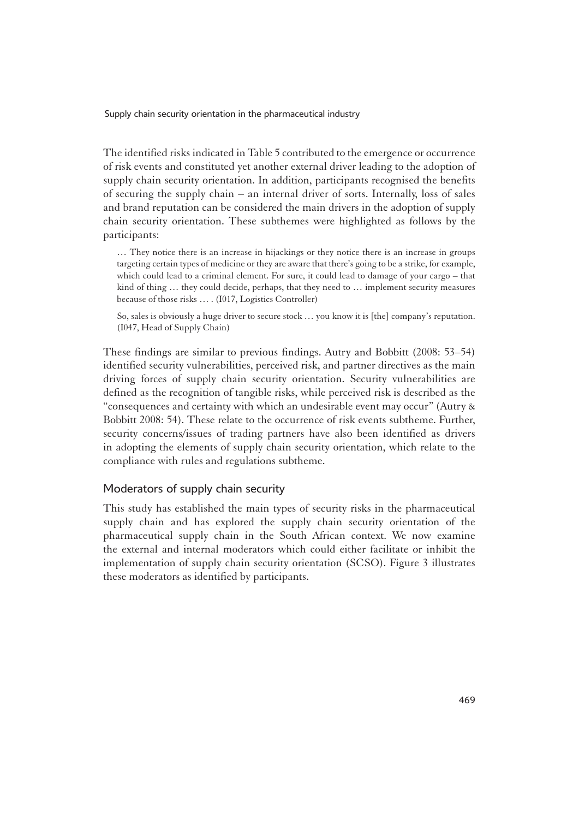1The identified risks indicated in Table 5 contributed to the emergence or occurrence of risk events and constituted yet another external driver leading to the adoption of supply chain security orientation. In addition, participants recognised the benefits of securing the supply chain – an internal driver of sorts. Internally, loss of sales and brand reputation can be considered the main drivers in the adoption of supply chain security orientation. These subthemes were highlighted as follows by the participants:

… They notice there is an increase in hijackings or they notice there is an increase in groups targeting certain types of medicine or they are aware that there's going to be a strike, for example, which could lead to a criminal element. For sure, it could lead to damage of your cargo – that kind of thing ... they could decide, perhaps, that they need to ... implement security measures because of those risks … . (I017, Logistics Controller)

So, sales is obviously a huge driver to secure stock … you know it is [the] company's reputation. (I047, Head of Supply Chain)

1These findings are similar to previous findings. Autry and Bobbitt (2008: 53–54) identified security vulnerabilities, perceived risk, and partner directives as the main driving forces of supply chain security orientation. Security vulnerabilities are defined as the recognition of tangible risks, while perceived risk is described as the "consequences and certainty with which an undesirable event may occur" (Autry & Bobbitt 2008: 54). These relate to the occurrence of risk events subtheme. Further, security concerns/issues of trading partners have also been identified as drivers in adopting the elements of supply chain security orientation, which relate to the compliance with rules and regulations subtheme.

## Moderators of supply chain security

1This study has established the main types of security risks in the pharmaceutical supply chain and has explored the supply chain security orientation of the pharmaceutical supply chain in the South African context. We now examine the external and internal moderators which could either facilitate or inhibit the implementation of supply chain security orientation (SCSO). Figure 3 illustrates these moderators as identified by participants.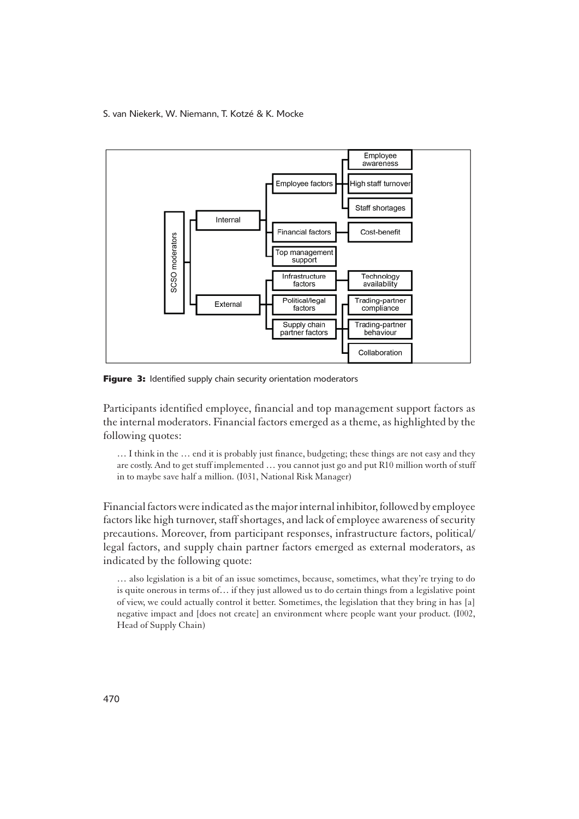

**Figure 3:** Identified supply chain security orientation moderators

1Participants identified employee, financial and top management support factors as the internal moderators. Financial factors emerged as a theme, as highlighted by the following quotes:

… I think in the … end it is probably just finance, budgeting; these things are not easy and they are costly. And to get stuff implemented … you cannot just go and put R10 million worth of stuff in to maybe save half a million. (I031, National Risk Manager)

1Financial factors were indicated as the major internal inhibitor, followed by employee factors like high turnover, staff shortages, and lack of employee awareness of security precautions. Moreover, from participant responses, infrastructure factors, political/ legal factors, and supply chain partner factors emerged as external moderators, as indicated by the following quote:

… also legislation is a bit of an issue sometimes, because, sometimes, what they're trying to do is quite onerous in terms of… if they just allowed us to do certain things from a legislative point of view, we could actually control it better. Sometimes, the legislation that they bring in has [a] negative impact and [does not create] an environment where people want your product. (I002, Head of Supply Chain)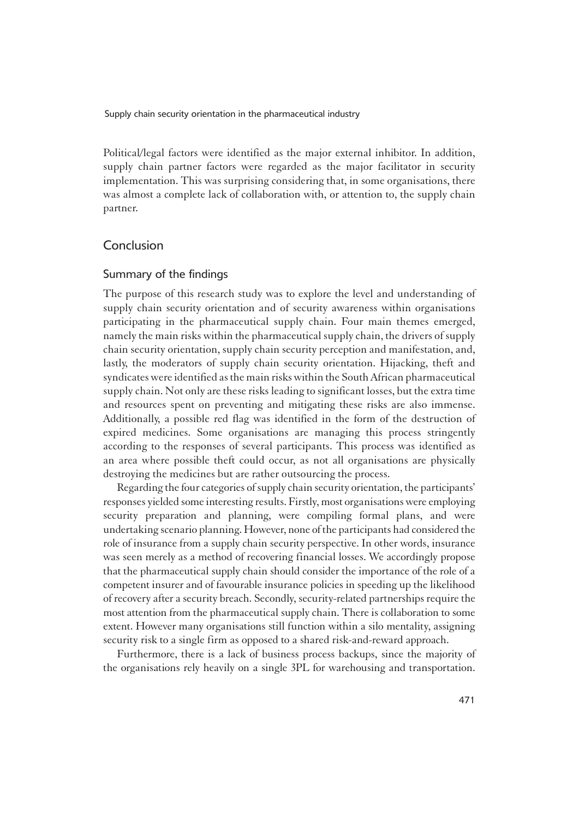1Political/legal factors were identified as the major external inhibitor. In addition, supply chain partner factors were regarded as the major facilitator in security implementation. This was surprising considering that, in some organisations, there was almost a complete lack of collaboration with, or attention to, the supply chain partner.

# Conclusion

## Summary of the findings

The purpose of this research study was to explore the level and understanding of supply chain security orientation and of security awareness within organisations participating in the pharmaceutical supply chain. Four main themes emerged, namely the main risks within the pharmaceutical supply chain, the drivers of supply chain security orientation, supply chain security perception and manifestation, and, lastly, the moderators of supply chain security orientation. Hijacking, theft and syndicates were identified as the main risks within the South African pharmaceutical supply chain. Not only are these risks leading to significant losses, but the extra time and resources spent on preventing and mitigating these risks are also immense. Additionally, a possible red flag was identified in the form of the destruction of expired medicines. Some organisations are managing this process stringently according to the responses of several participants. This process was identified as an area where possible theft could occur, as not all organisations are physically destroying the medicines but are rather outsourcing the process.

Regarding the four categories of supply chain security orientation, the participants' responses yielded some interesting results. Firstly, most organisations were employing security preparation and planning, were compiling formal plans, and were undertaking scenario planning. However, none of the participants had considered the role of insurance from a supply chain security perspective. In other words, insurance was seen merely as a method of recovering financial losses. We accordingly propose that the pharmaceutical supply chain should consider the importance of the role of a competent insurer and of favourable insurance policies in speeding up the likelihood of recovery after a security breach. Secondly, security-related partnerships require the most attention from the pharmaceutical supply chain. There is collaboration to some extent. However many organisations still function within a silo mentality, assigning security risk to a single firm as opposed to a shared risk-and-reward approach.

Furthermore, there is a lack of business process backups, since the majority of the organisations rely heavily on a single 3PL for warehousing and transportation.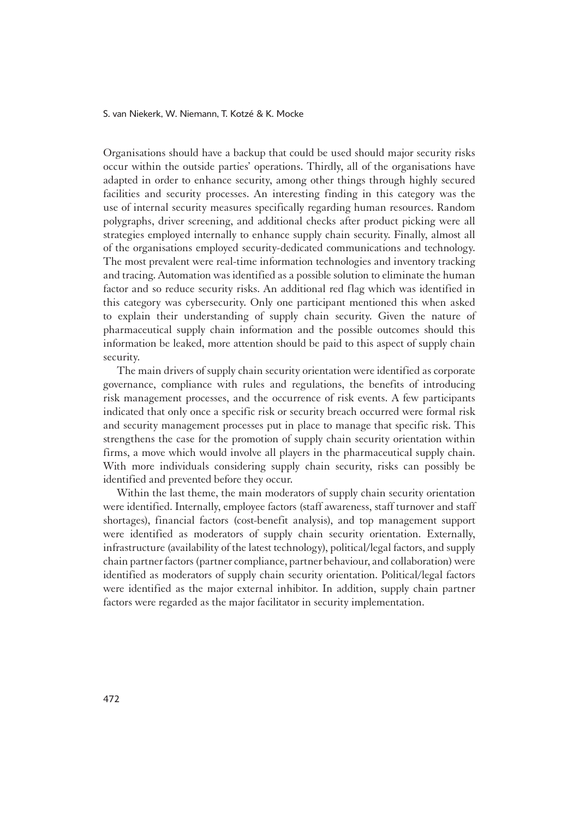Organisations should have a backup that could be used should major security risks occur within the outside parties' operations. Thirdly, all of the organisations have adapted in order to enhance security, among other things through highly secured facilities and security processes. An interesting finding in this category was the use of internal security measures specifically regarding human resources. Random polygraphs, driver screening, and additional checks after product picking were all strategies employed internally to enhance supply chain security. Finally, almost all of the organisations employed security-dedicated communications and technology. The most prevalent were real-time information technologies and inventory tracking and tracing. Automation was identified as a possible solution to eliminate the human factor and so reduce security risks. An additional red flag which was identified in this category was cybersecurity. Only one participant mentioned this when asked to explain their understanding of supply chain security. Given the nature of pharmaceutical supply chain information and the possible outcomes should this information be leaked, more attention should be paid to this aspect of supply chain security.

The main drivers of supply chain security orientation were identified as corporate governance, compliance with rules and regulations, the benefits of introducing risk management processes, and the occurrence of risk events. A few participants indicated that only once a specific risk or security breach occurred were formal risk and security management processes put in place to manage that specific risk. This strengthens the case for the promotion of supply chain security orientation within firms, a move which would involve all players in the pharmaceutical supply chain. With more individuals considering supply chain security, risks can possibly be identified and prevented before they occur.

Within the last theme, the main moderators of supply chain security orientation were identified. Internally, employee factors (staff awareness, staff turnover and staff shortages), financial factors (cost-benefit analysis), and top management support were identified as moderators of supply chain security orientation. Externally, infrastructure (availability of the latest technology), political/legal factors, and supply chain partner factors (partner compliance, partner behaviour, and collaboration) were identified as moderators of supply chain security orientation. Political/legal factors were identified as the major external inhibitor. In addition, supply chain partner factors were regarded as the major facilitator in security implementation.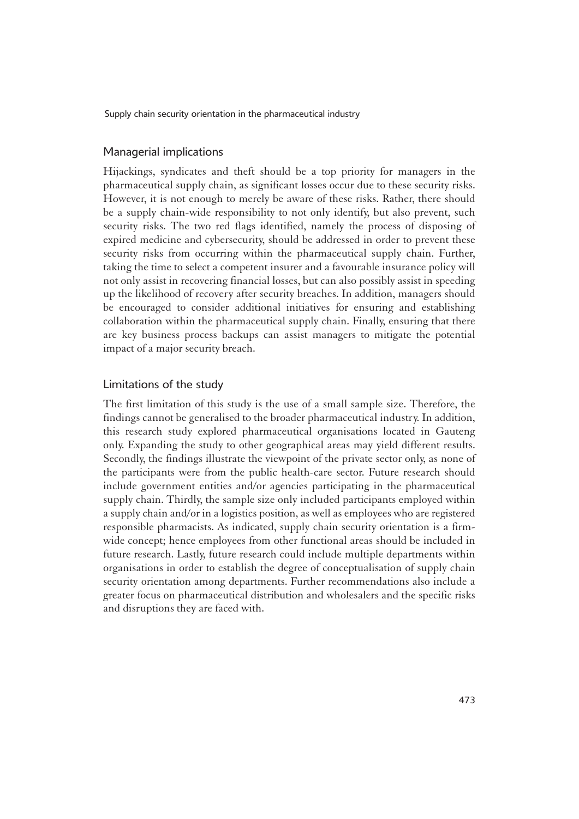## Managerial implications

1Hijackings, syndicates and theft should be a top priority for managers in the pharmaceutical supply chain, as significant losses occur due to these security risks. However, it is not enough to merely be aware of these risks. Rather, there should be a supply chain-wide responsibility to not only identify, but also prevent, such security risks. The two red flags identified, namely the process of disposing of expired medicine and cybersecurity, should be addressed in order to prevent these security risks from occurring within the pharmaceutical supply chain. Further, taking the time to select a competent insurer and a favourable insurance policy will not only assist in recovering financial losses, but can also possibly assist in speeding up the likelihood of recovery after security breaches. In addition, managers should be encouraged to consider additional initiatives for ensuring and establishing collaboration within the pharmaceutical supply chain. Finally, ensuring that there are key business process backups can assist managers to mitigate the potential impact of a major security breach.

# Limitations of the study

The first limitation of this study is the use of a small sample size. Therefore, the findings cannot be generalised to the broader pharmaceutical industry. In addition, this research study explored pharmaceutical organisations located in Gauteng only. Expanding the study to other geographical areas may yield different results. Secondly, the findings illustrate the viewpoint of the private sector only, as none of the participants were from the public health-care sector. Future research should include government entities and/or agencies participating in the pharmaceutical supply chain. Thirdly, the sample size only included participants employed within a supply chain and/or in a logistics position, as well as employees who are registered responsible pharmacists. As indicated, supply chain security orientation is a firmwide concept; hence employees from other functional areas should be included in future research. Lastly, future research could include multiple departments within organisations in order to establish the degree of conceptualisation of supply chain security orientation among departments. Further recommendations also include a greater focus on pharmaceutical distribution and wholesalers and the specific risks and disruptions they are faced with.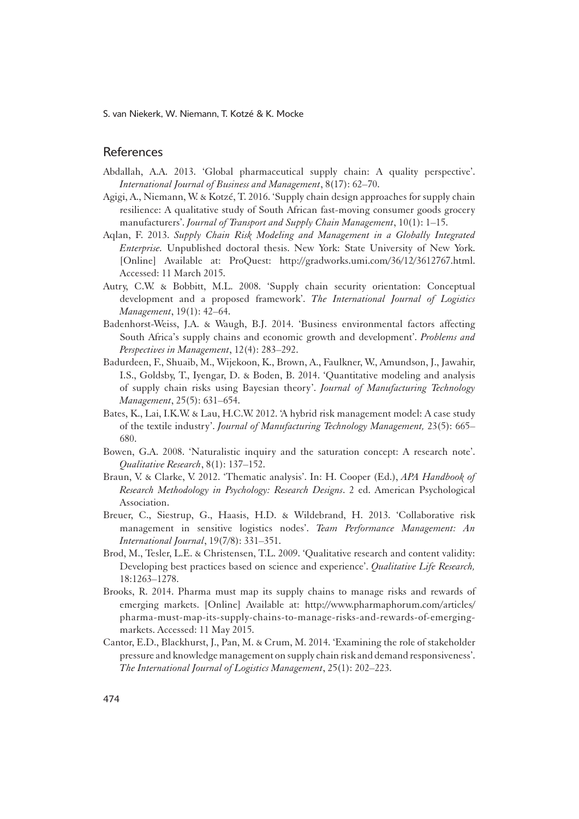# **References**

- Abdallah, A.A. 2013. 'Global pharmaceutical supply chain: A quality perspective'. *International Journal of Business and Management*, 8(17): 62–70.
- Agigi, A., Niemann, W. & Kotzé, T. 2016. 'Supply chain design approaches for supply chain resilience: A qualitative study of South African fast-moving consumer goods grocery manufacturers'. *Journal of Transport and Supply Chain Management*, 10(1): 1–15.
- Aqlan, F. 2013. *Supply Chain Risk Modeling and Management in a Globally Integrated Enterprise.* Unpublished doctoral thesis. New York: State University of New York. [Online] Available at: ProQuest: http://gradworks.umi.com/36/12/3612767.html. Accessed: 11 March 2015.
- Autry, C.W. & Bobbitt, M.L. 2008. 'Supply chain security orientation: Conceptual development and a proposed framework'. *The International Journal of Logistics Management*, 19(1): 42–64.
- Badenhorst-Weiss, J.A. & Waugh, B.J. 2014. 'Business environmental factors affecting South Africa's supply chains and economic growth and development'. *Problems and Perspectives in Management*, 12(4): 283–292.
- Badurdeen, F., Shuaib, M., Wijekoon, K., Brown, A., Faulkner, W., Amundson, J., Jawahir, I.S., Goldsby, T., Iyengar, D. & Boden, B. 2014. 'Quantitative modeling and analysis of supply chain risks using Bayesian theory'. *Journal of Manufacturing Technology Management*, 25(5): 631–654.
- Bates, K., Lai, I.K.W. & Lau, H.C.W. 2012. 'A hybrid risk management model: A case study of the textile industry'. *Journal of Manufacturing Technology Management,* 23(5): 665– 680.
- Bowen, G.A. 2008. 'Naturalistic inquiry and the saturation concept: A research note'. *Qualitative Research*, 8(1): 137–152.
- Braun, V. & Clarke, V. 2012. 'Thematic analysis'. In: H. Cooper (Ed.), *APA Handbook of Research Methodology in Psychology: Research Designs*. 2 ed. American Psychological Association.
- Breuer, C., Siestrup, G., Haasis, H.D. & Wildebrand, H. 2013. 'Collaborative risk management in sensitive logistics nodes'. *Team Performance Management: An International Journal*, 19(7/8): 331–351.
- Brod, M., Tesler, L.E. & Christensen, T.L. 2009. 'Qualitative research and content validity: Developing best practices based on science and experience'. *Qualitative Life Research,*  18:1263–1278.
- Brooks, R. 2014. Pharma must map its supply chains to manage risks and rewards of emerging markets. [Online] Available at: http://www.pharmaphorum.com/articles/ pharma-must-map-its-supply-chains-to-manage-risks-and-rewards-of-emergingmarkets. Accessed: 11 May 2015.
- Cantor, E.D., Blackhurst, J., Pan, M. & Crum, M. 2014. 'Examining the role of stakeholder pressure and knowledge management on supply chain risk and demand responsiveness'. *The International Journal of Logistics Management*, 25(1): 202–223.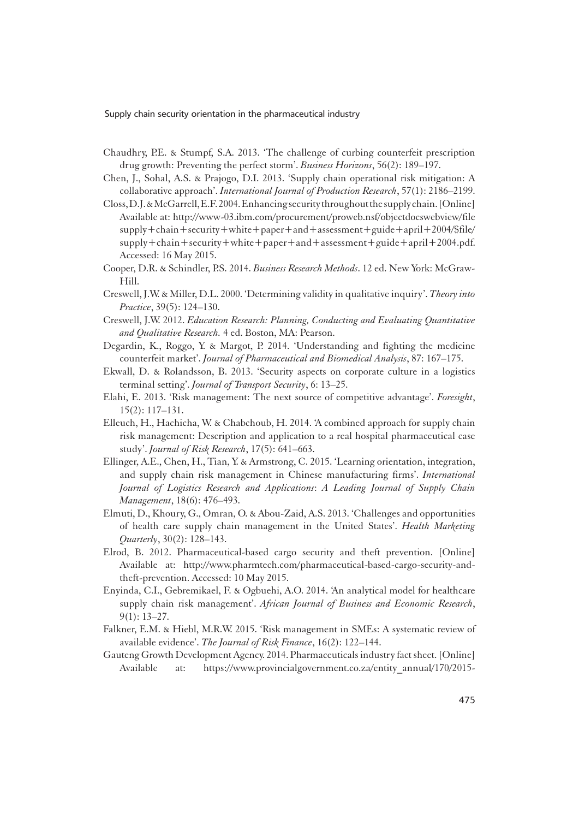- Chaudhry, P.E. & Stumpf, S.A. 2013. 'The challenge of curbing counterfeit prescription drug growth: Preventing the perfect storm'. *Business Horizons*, 56(2): 189–197.
- Chen, J., Sohal, A.S. & Prajogo, D.I. 2013. 'Supply chain operational risk mitigation: A collaborative approach'. *International Journal of Production Research*, 57(1): 2186–2199.
- Closs, D.J. & McGarrell, E.F. 2004. Enhancing security throughout the supply chain. [Online] Available at: http://www-03.ibm.com/procurement/proweb.nsf/objectdocswebview/file  $supply + chain + security + white + paper + and + assessment + guide + april + 2004/\$file/$  $supply + chain + security + white + paper + and + assessment + guide + april + 2004.pdf.$ Accessed: 16 May 2015.
- Cooper, D.R. & Schindler, P.S. 2014. *Business Research Methods*. 12 ed. New York: McGraw-Hill.
- Creswell, J.W. & Miller, D.L. 2000. 'Determining validity in qualitative inquiry'. *Theory into Practice*, 39(5): 124–130.
- Creswell, J.W. 2012. *Education Research: Planning, Conducting and Evaluating Quantitative and Qualitative Research.* 4 ed. Boston, MA: Pearson.
- Degardin, K., Roggo, Y. & Margot, P. 2014. 'Understanding and fighting the medicine counterfeit market'. *Journal of Pharmaceutical and Biomedical Analysis*, 87: 167–175.
- Ekwall, D. & Rolandsson, B. 2013. 'Security aspects on corporate culture in a logistics terminal setting'. *Journal of Transport Security*, 6: 13–25.
- Elahi, E. 2013. 'Risk management: The next source of competitive advantage'. *Foresight*, 15(2): 117–131.
- Elleuch, H., Hachicha, W. & Chabchoub, H. 2014. 'A combined approach for supply chain risk management: Description and application to a real hospital pharmaceutical case study'. *Journal of Risk Research*, 17(5): 641–663.
- Ellinger, A.E., Chen, H., Tian, Y. & Armstrong, C. 2015. 'Learning orientation, integration, and supply chain risk management in Chinese manufacturing firms'. *International Journal of Logistics Research and Applications*: *A Leading Journal of Supply Chain Management*, 18(6): 476–493.
- Elmuti, D., Khoury, G., Omran, O. & Abou-Zaid, A.S. 2013. 'Challenges and opportunities of health care supply chain management in the United States'. *Health Marketing Quarterly*, 30(2): 128–143.
- Elrod, B. 2012. Pharmaceutical-based cargo security and theft prevention. [Online] Available at: http://www.pharmtech.com/pharmaceutical-based-cargo-security-andtheft-prevention. Accessed: 10 May 2015.
- Enyinda, C.I., Gebremikael, F. & Ogbuehi, A.O. 2014. 'An analytical model for healthcare supply chain risk management'. *African Journal of Business and Economic Research*, 9(1): 13–27.
- Falkner, E.M. & Hiebl, M.R.W. 2015. 'Risk management in SMEs: A systematic review of available evidence'. *The Journal of Risk Finance*, 16(2): 122–144.
- Gauteng Growth Development Agency. 2014. Pharmaceuticals industry fact sheet.[Online] Available at: https://www.provincialgovernment.co.za/entity\_annual/170/2015-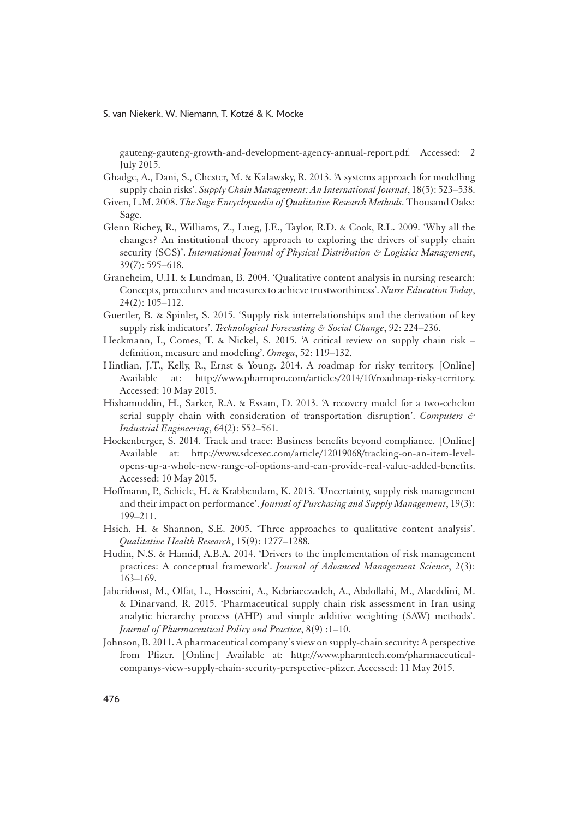gauteng-gauteng-growth-and-development-agency-annual-report.pdf. Accessed: 2 July 2015.

- Ghadge, A., Dani, S., Chester, M. & Kalawsky, R. 2013. 'A systems approach for modelling supply chain risks'. *Supply Chain Management: An International Journal*, 18(5): 523–538.
- Given, L.M. 2008. *The Sage Encyclopaedia of Qualitative Research Methods*. Thousand Oaks: Sage.
- Glenn Richey, R., Williams, Z., Lueg, J.E., Taylor, R.D. & Cook, R.L. 2009. 'Why all the changes? An institutional theory approach to exploring the drivers of supply chain security (SCS)'. *International Journal of Physical Distribution & Logistics Management*, 39(7): 595–618.
- Graneheim, U.H. & Lundman, B. 2004. 'Qualitative content analysis in nursing research: Concepts, procedures and measures to achieve trustworthiness'. *Nurse Education Today*, 24(2): 105–112.
- Guertler, B. & Spinler, S. 2015. 'Supply risk interrelationships and the derivation of key supply risk indicators'. *Technological Forecasting & Social Change*, 92: 224–236.
- Heckmann, I., Comes, T. & Nickel, S. 2015. 'A critical review on supply chain risk definition, measure and modeling'. *Omega*, 52: 119–132.
- Hintlian, J.T., Kelly, R., Ernst & Young. 2014. A roadmap for risky territory. [Online] Available at: http://www.pharmpro.com/articles/2014/10/roadmap-risky-territory. Accessed: 10 May 2015.
- Hishamuddin, H., Sarker, R.A. & Essam, D. 2013. 'A recovery model for a two-echelon serial supply chain with consideration of transportation disruption'. *Computers & Industrial Engineering*, 64(2): 552–561.
- Hockenberger, S. 2014. Track and trace: Business benefits beyond compliance. [Online] Available at: http://www.sdcexec.com/article/12019068/tracking-on-an-item-levelopens-up-a-whole-new-range-of-options-and-can-provide-real-value-added-benefits. Accessed: 10 May 2015.
- Hoffmann, P., Schiele, H. & Krabbendam, K. 2013. 'Uncertainty, supply risk management and their impact on performance'. *Journal of Purchasing and Supply Management*, 19(3): 199–211.
- Hsieh, H. & Shannon, S.E. 2005. 'Three approaches to qualitative content analysis'. *Qualitative Health Research*, 15(9): 1277–1288.
- Hudin, N.S. & Hamid, A.B.A. 2014. 'Drivers to the implementation of risk management practices: A conceptual framework'. *Journal of Advanced Management Science*, 2(3): 163–169.
- Jaberidoost, M., Olfat, L., Hosseini, A., Kebriaeezadeh, A., Abdollahi, M., Alaeddini, M. & Dinarvand, R. 2015. 'Pharmaceutical supply chain risk assessment in Iran using analytic hierarchy process (AHP) and simple additive weighting (SAW) methods'. *Journal of Pharmaceutical Policy and Practice*, 8(9) :1–10.
- Johnson, B. 2011. A pharmaceutical company's view on supply-chain security: A perspective from Pfizer. [Online] Available at: http://www.pharmtech.com/pharmaceuticalcompanys-view-supply-chain-security-perspective-pfizer. Accessed: 11 May 2015.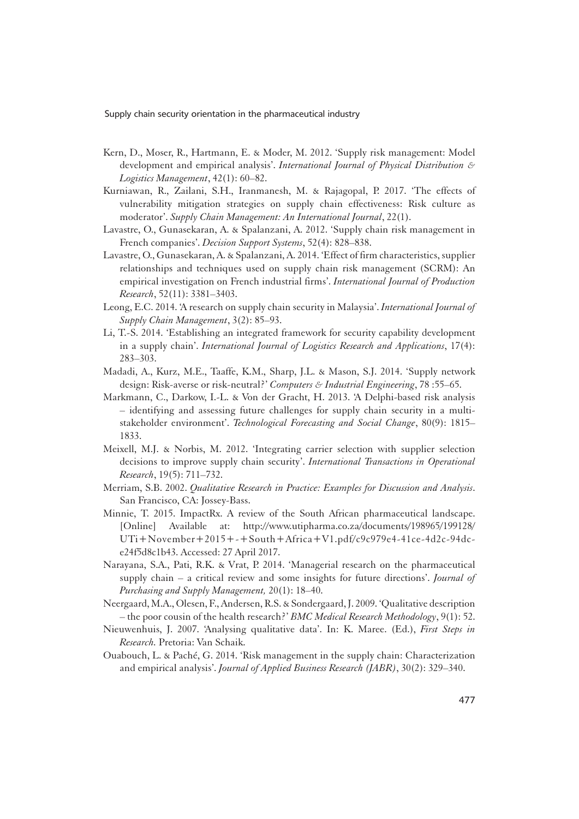- Kern, D., Moser, R., Hartmann, E. & Moder, M. 2012. 'Supply risk management: Model development and empirical analysis'. *International Journal of Physical Distribution & Logistics Management*, 42(1): 60–82.
- Kurniawan, R., Zailani, S.H., Iranmanesh, M. & Rajagopal, P. 2017. 'The effects of vulnerability mitigation strategies on supply chain effectiveness: Risk culture as moderator'. *Supply Chain Management: An International Journal*, 22(1).
- Lavastre, O., Gunasekaran, A. & Spalanzani, A. 2012. 'Supply chain risk management in French companies'. *Decision Support Systems*, 52(4): 828–838.
- Lavastre, O., Gunasekaran, A. & Spalanzani, A. 2014. 'Effect of firm characteristics, supplier relationships and techniques used on supply chain risk management (SCRM): An empirical investigation on French industrial firms'. *International Journal of Production Research*, 52(11): 3381–3403.
- Leong, E.C. 2014. 'A research on supply chain security in Malaysia'. *International Journal of Supply Chain Management*, 3(2): 85–93.
- Li, T.-S. 2014. 'Establishing an integrated framework for security capability development in a supply chain'. *International Journal of Logistics Research and Applications*, 17(4): 283–303.
- Madadi, A., Kurz, M.E., Taaffe, K.M., Sharp, J.L. & Mason, S.J. 2014. 'Supply network design: Risk-averse or risk-neutral?' *Computers & Industrial Engineering*, 78 :55–65.
- Markmann, C., Darkow, I.-L. & Von der Gracht, H. 2013. 'A Delphi-based risk analysis – identifying and assessing future challenges for supply chain security in a multistakeholder environment'. *Technological Forecasting and Social Change*, 80(9): 1815– 1833.
- Meixell, M.J. & Norbis, M. 2012. 'Integrating carrier selection with supplier selection decisions to improve supply chain security'. *International Transactions in Operational Research*, 19(5): 711–732.
- Merriam, S.B. 2002. *Qualitative Research in Practice: Examples for Discussion and Analysis*. San Francisco, CA: Jossey-Bass.
- Minnie, T. 2015. ImpactRx. A review of the South African pharmaceutical landscape. [Online] Available at: http://www.utipharma.co.za/documents/198965/199128/ UTi+November+2015+-+South+Africa+V1.pdf/c9c979e4-41ce-4d2c-94dce24f5d8c1b43. Accessed: 27 April 2017.
- Narayana, S.A., Pati, R.K. & Vrat, P. 2014. 'Managerial research on the pharmaceutical supply chain – a critical review and some insights for future directions'. *Journal of Purchasing and Supply Management,* 20(1): 18–40.
- Neergaard, M.A., Olesen, F., Andersen, R.S. & Sondergaard, J. 2009. 'Qualitative description – the poor cousin of the health research?' *BMC Medical Research Methodology*, 9(1): 52.
- Nieuwenhuis, J. 2007. 'Analysing qualitative data'. In: K. Maree. (Ed.), *First Steps in Research.* Pretoria: Van Schaik.
- Ouabouch, L. & Paché, G. 2014. 'Risk management in the supply chain: Characterization and empirical analysis'. *Journal of Applied Business Research (JABR)*, 30(2): 329–340.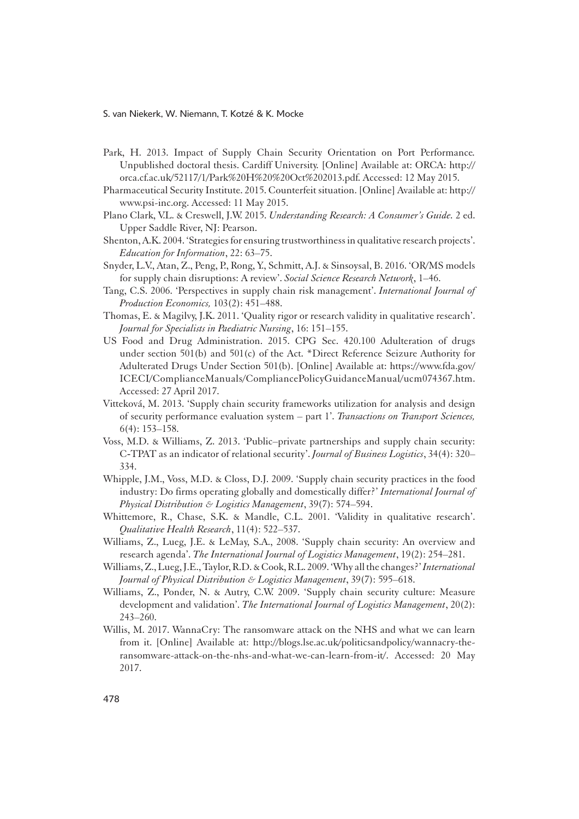- Park, H. 2013. Impact of Supply Chain Security Orientation on Port Performance*.* Unpublished doctoral thesis. Cardiff University. [Online] Available at: ORCA: http:// orca.cf.ac.uk/52117/1/Park%20H%20%20Oct%202013.pdf. Accessed: 12 May 2015.
- Pharmaceutical Security Institute. 2015. Counterfeit situation. [Online] Available at: http:// www.psi-inc.org. Accessed: 11 May 2015.
- Plano Clark, V.L. & Creswell, J.W. 2015. *Understanding Research: A Consumer's Guide.* 2 ed. Upper Saddle River, NJ: Pearson.
- Shenton, A.K. 2004. 'Strategies for ensuring trustworthiness in qualitative research projects'. *Education for Information*, 22: 63–75.
- Snyder, L.V., Atan, Z., Peng, P., Rong, Y., Schmitt, A.J. & Sinsoysal, B. 2016. 'OR/MS models for supply chain disruptions: A review'. *Social Science Research Network*, 1–46.
- Tang, C.S. 2006. 'Perspectives in supply chain risk management'. *International Journal of Production Economics,* 103(2): 451–488.
- Thomas, E. & Magilvy, J.K. 2011. 'Quality rigor or research validity in qualitative research'. *Journal for Specialists in Paediatric Nursing*, 16: 151–155.
- US Food and Drug Administration. 2015. CPG Sec. 420.100 Adulteration of drugs under section 501(b) and 501(c) of the Act. \*Direct Reference Seizure Authority for Adulterated Drugs Under Section 501(b). [Online] Available at: https://www.fda.gov/ ICECI/ComplianceManuals/CompliancePolicyGuidanceManual/ucm074367.htm. Accessed: 27 April 2017.
- Vitteková, M. 2013. 'Supply chain security frameworks utilization for analysis and design of security performance evaluation system – part 1'. *Transactions on Transport Sciences,*  6(4): 153–158.
- Voss, M.D. & Williams, Z. 2013. 'Public–private partnerships and supply chain security: C-TPAT as an indicator of relational security'. *Journal of Business Logistics*, 34(4): 320– 334.
- Whipple, J.M., Voss, M.D. & Closs, D.J. 2009. 'Supply chain security practices in the food industry: Do firms operating globally and domestically differ?' *International Journal of Physical Distribution & Logistics Management*, 39(7): 574–594.
- Whittemore, R., Chase, S.K. & Mandle, C.L. 2001. 'Validity in qualitative research'. *Qualitative Health Research*, 11(4): 522–537.
- Williams, Z., Lueg, J.E. & LeMay, S.A., 2008. 'Supply chain security: An overview and research agenda'. *The International Journal of Logistics Management*, 19(2): 254–281.
- Williams, Z., Lueg, J.E., Taylor, R.D. & Cook, R.L. 2009. 'Why all the changes?' *International Journal of Physical Distribution & Logistics Management*, 39(7): 595–618.
- Williams, Z., Ponder, N. & Autry, C.W. 2009. 'Supply chain security culture: Measure development and validation'. *The International Journal of Logistics Management*, 20(2): 243–260.
- Willis, M. 2017. WannaCry: The ransomware attack on the NHS and what we can learn from it. [Online] Available at: http://blogs.lse.ac.uk/politicsandpolicy/wannacry-theransomware-attack-on-the-nhs-and-what-we-can-learn-from-it/. Accessed: 20 May 2017.